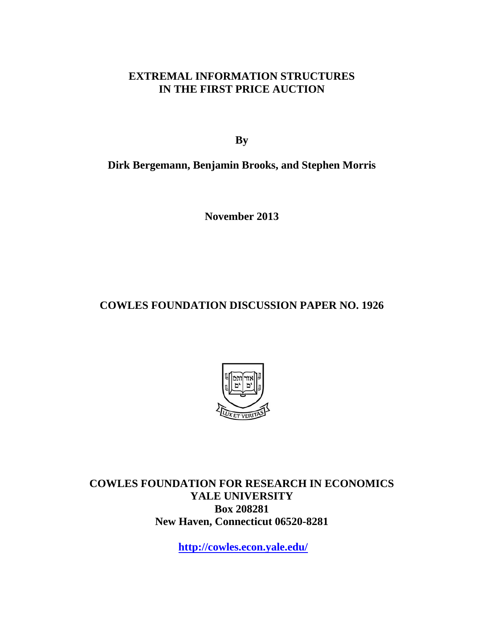## **EXTREMAL INFORMATION STRUCTURES IN THE FIRST PRICE AUCTION**

**By** 

## **Dirk Bergemann, Benjamin Brooks, and Stephen Morris**

**November 2013** 

# **COWLES FOUNDATION DISCUSSION PAPER NO. 1926**



**COWLES FOUNDATION FOR RESEARCH IN ECONOMICS YALE UNIVERSITY Box 208281 New Haven, Connecticut 06520-8281** 

**http://cowles.econ.yale.edu/**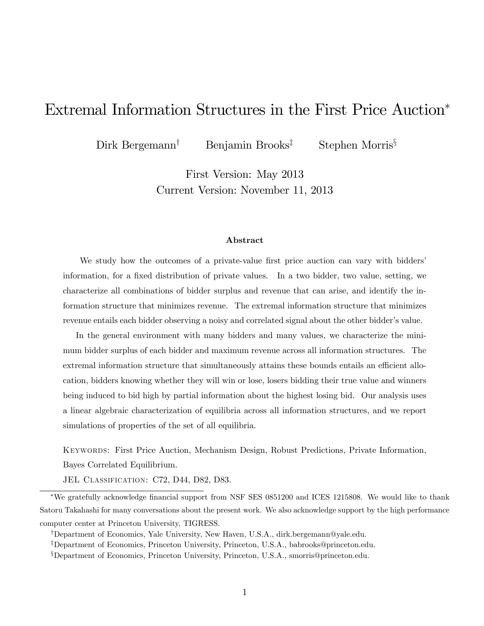# Extremal Information Structures in the First Price Auction

 $Dirk$  Bergemann<sup>†</sup> Benjamin Brooks<sup>‡</sup> Stephen Morris<sup>§</sup>

First Version: May 2013 Current Version: November 11, 2013

#### Abstract

We study how the outcomes of a private-value first price auction can vary with bidders' information, for a fixed distribution of private values. In a two bidder, two value, setting, we characterize all combinations of bidder surplus and revenue that can arise, and identify the information structure that minimizes revenue. The extremal information structure that minimizes revenue entails each bidder observing a noisy and correlated signal about the other bidder's value.

In the general environment with many bidders and many values, we characterize the minimum bidder surplus of each bidder and maximum revenue across all information structures. The extremal information structure that simultaneously attains these bounds entails an efficient allocation, bidders knowing whether they will win or lose, losers bidding their true value and winners being induced to bid high by partial information about the highest losing bid. Our analysis uses a linear algebraic characterization of equilibria across all information structures, and we report simulations of properties of the set of all equilibria.

Keywords: First Price Auction, Mechanism Design, Robust Predictions, Private Information, Bayes Correlated Equilibrium.

JEL CLASSIFICATION: C72, D44, D82, D83.

We gratefully acknowledge Önancial support from NSF SES 0851200 and ICES 1215808. We would like to thank Satoru Takahashi for many conversations about the present work. We also acknowledge support by the high performance computer center at Princeton University, TIGRESS.

<sup>&</sup>lt;sup>†</sup>Department of Economics, Yale University, New Haven, U.S.A., dirk.bergemann@yale.edu.

<sup>&</sup>lt;sup>‡</sup>Department of Economics, Princeton University, Princeton, U.S.A., babrooks@princeton.edu.

<sup>x</sup>Department of Economics, Princeton University, Princeton, U.S.A., smorris@princeton.edu.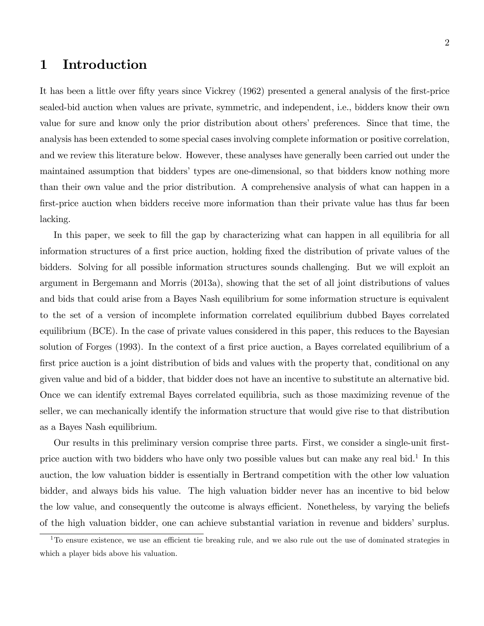# 1 Introduction

It has been a little over fifty years since Vickrey (1962) presented a general analysis of the first-price sealed-bid auction when values are private, symmetric, and independent, i.e., bidders know their own value for sure and know only the prior distribution about othersí preferences. Since that time, the analysis has been extended to some special cases involving complete information or positive correlation, and we review this literature below. However, these analyses have generally been carried out under the maintained assumption that bidders' types are one-dimensional, so that bidders know nothing more than their own value and the prior distribution. A comprehensive analysis of what can happen in a first-price auction when bidders receive more information than their private value has thus far been lacking.

In this paper, we seek to fill the gap by characterizing what can happen in all equilibria for all information structures of a first price auction, holding fixed the distribution of private values of the bidders. Solving for all possible information structures sounds challenging. But we will exploit an argument in Bergemann and Morris (2013a), showing that the set of all joint distributions of values and bids that could arise from a Bayes Nash equilibrium for some information structure is equivalent to the set of a version of incomplete information correlated equilibrium dubbed Bayes correlated equilibrium (BCE). In the case of private values considered in this paper, this reduces to the Bayesian solution of Forges (1993). In the context of a first price auction, a Bayes correlated equilibrium of a first price auction is a joint distribution of bids and values with the property that, conditional on any given value and bid of a bidder, that bidder does not have an incentive to substitute an alternative bid. Once we can identify extremal Bayes correlated equilibria, such as those maximizing revenue of the seller, we can mechanically identify the information structure that would give rise to that distribution as a Bayes Nash equilibrium.

Our results in this preliminary version comprise three parts. First, we consider a single-unit firstprice auction with two bidders who have only two possible values but can make any real bid.<sup>1</sup> In this auction, the low valuation bidder is essentially in Bertrand competition with the other low valuation bidder, and always bids his value. The high valuation bidder never has an incentive to bid below the low value, and consequently the outcome is always efficient. Nonetheless, by varying the beliefs of the high valuation bidder, one can achieve substantial variation in revenue and biddersí surplus.

 $1$ To ensure existence, we use an efficient tie breaking rule, and we also rule out the use of dominated strategies in which a player bids above his valuation.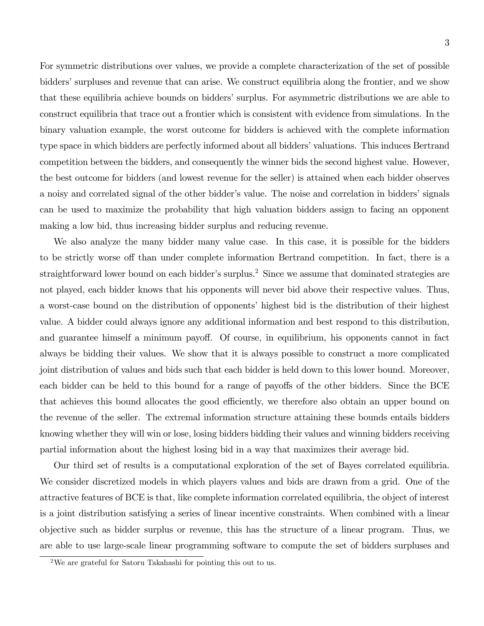For symmetric distributions over values, we provide a complete characterization of the set of possible bidders' surpluses and revenue that can arise. We construct equilibria along the frontier, and we show that these equilibria achieve bounds on bidders' surplus. For asymmetric distributions we are able to construct equilibria that trace out a frontier which is consistent with evidence from simulations. In the binary valuation example, the worst outcome for bidders is achieved with the complete information type space in which bidders are perfectly informed about all bidders' valuations. This induces Bertrand competition between the bidders, and consequently the winner bids the second highest value. However, the best outcome for bidders (and lowest revenue for the seller) is attained when each bidder observes a noisy and correlated signal of the other bidder's value. The noise and correlation in bidders' signals can be used to maximize the probability that high valuation bidders assign to facing an opponent making a low bid, thus increasing bidder surplus and reducing revenue.

We also analyze the many bidder many value case. In this case, it is possible for the bidders to be strictly worse off than under complete information Bertrand competition. In fact, there is a straightforward lower bound on each bidder's surplus.<sup>2</sup> Since we assume that dominated strategies are not played, each bidder knows that his opponents will never bid above their respective values. Thus, a worst-case bound on the distribution of opponents' highest bid is the distribution of their highest value. A bidder could always ignore any additional information and best respond to this distribution, and guarantee himself a minimum payoff. Of course, in equilibrium, his opponents cannot in fact always be bidding their values. We show that it is always possible to construct a more complicated joint distribution of values and bids such that each bidder is held down to this lower bound. Moreover, each bidder can be held to this bound for a range of payoffs of the other bidders. Since the BCE that achieves this bound allocates the good efficiently, we therefore also obtain an upper bound on the revenue of the seller. The extremal information structure attaining these bounds entails bidders knowing whether they will win or lose, losing bidders bidding their values and winning bidders receiving partial information about the highest losing bid in a way that maximizes their average bid.

Our third set of results is a computational exploration of the set of Bayes correlated equilibria. We consider discretized models in which players values and bids are drawn from a grid. One of the attractive features of BCE is that, like complete information correlated equilibria, the object of interest is a joint distribution satisfying a series of linear incentive constraints. When combined with a linear objective such as bidder surplus or revenue, this has the structure of a linear program. Thus, we are able to use large-scale linear programming software to compute the set of bidders surpluses and

<sup>2</sup>We are grateful for Satoru Takahashi for pointing this out to us.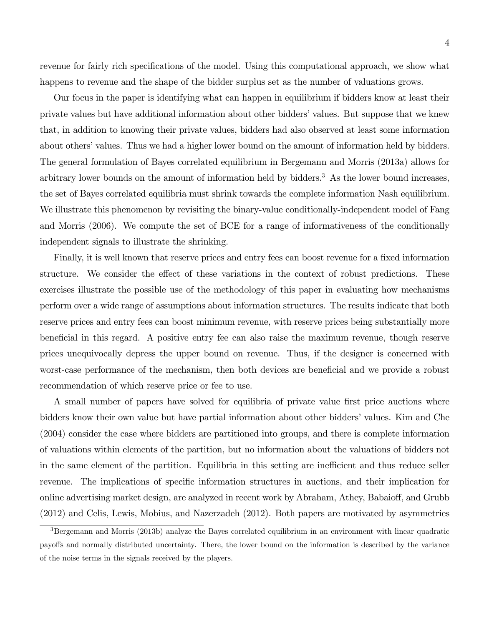revenue for fairly rich specifications of the model. Using this computational approach, we show what happens to revenue and the shape of the bidder surplus set as the number of valuations grows.

Our focus in the paper is identifying what can happen in equilibrium if bidders know at least their private values but have additional information about other biddersívalues. But suppose that we knew that, in addition to knowing their private values, bidders had also observed at least some information about others' values. Thus we had a higher lower bound on the amount of information held by bidders. The general formulation of Bayes correlated equilibrium in Bergemann and Morris (2013a) allows for arbitrary lower bounds on the amount of information held by bidders.<sup>3</sup> As the lower bound increases, the set of Bayes correlated equilibria must shrink towards the complete information Nash equilibrium. We illustrate this phenomenon by revisiting the binary-value conditionally-independent model of Fang and Morris (2006). We compute the set of BCE for a range of informativeness of the conditionally independent signals to illustrate the shrinking.

Finally, it is well known that reserve prices and entry fees can boost revenue for a fixed information structure. We consider the effect of these variations in the context of robust predictions. These exercises illustrate the possible use of the methodology of this paper in evaluating how mechanisms perform over a wide range of assumptions about information structures. The results indicate that both reserve prices and entry fees can boost minimum revenue, with reserve prices being substantially more beneficial in this regard. A positive entry fee can also raise the maximum revenue, though reserve prices unequivocally depress the upper bound on revenue. Thus, if the designer is concerned with worst-case performance of the mechanism, then both devices are beneficial and we provide a robust recommendation of which reserve price or fee to use.

A small number of papers have solved for equilibria of private value first price auctions where bidders know their own value but have partial information about other bidders' values. Kim and Che (2004) consider the case where bidders are partitioned into groups, and there is complete information of valuations within elements of the partition, but no information about the valuations of bidders not in the same element of the partition. Equilibria in this setting are inefficient and thus reduce seller revenue. The implications of specific information structures in auctions, and their implication for online advertising market design, are analyzed in recent work by Abraham, Athey, Babaioff, and Grubb (2012) and Celis, Lewis, Mobius, and Nazerzadeh (2012). Both papers are motivated by asymmetries

<sup>&</sup>lt;sup>3</sup>Bergemann and Morris (2013b) analyze the Bayes correlated equilibrium in an environment with linear quadratic payoffs and normally distributed uncertainty. There, the lower bound on the information is described by the variance of the noise terms in the signals received by the players.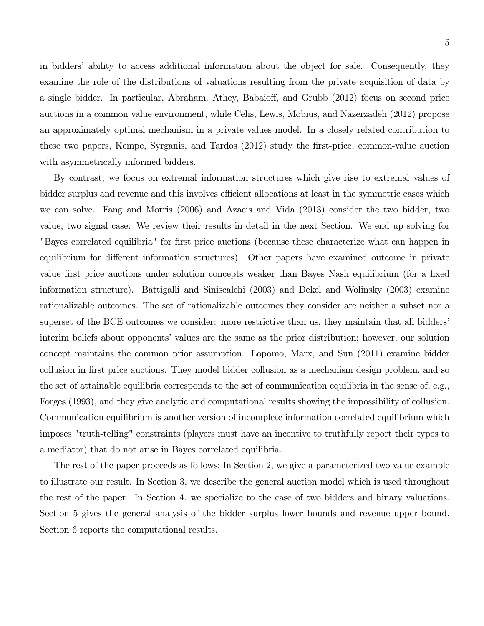in bidders' ability to access additional information about the object for sale. Consequently, they examine the role of the distributions of valuations resulting from the private acquisition of data by a single bidder. In particular, Abraham, Athey, Babaioff, and Grubb (2012) focus on second price auctions in a common value environment, while Celis, Lewis, Mobius, and Nazerzadeh (2012) propose an approximately optimal mechanism in a private values model. In a closely related contribution to these two papers, Kempe, Syrganis, and Tardos (2012) study the first-price, common-value auction with asymmetrically informed bidders.

By contrast, we focus on extremal information structures which give rise to extremal values of bidder surplus and revenue and this involves efficient allocations at least in the symmetric cases which we can solve. Fang and Morris (2006) and Azacis and Vida (2013) consider the two bidder, two value, two signal case. We review their results in detail in the next Section. We end up solving for "Bayes correlated equilibria" for first price auctions (because these characterize what can happen in equilibrium for different information structures). Other papers have examined outcome in private value first price auctions under solution concepts weaker than Bayes Nash equilibrium (for a fixed information structure). Battigalli and Siniscalchi (2003) and Dekel and Wolinsky (2003) examine rationalizable outcomes. The set of rationalizable outcomes they consider are neither a subset nor a superset of the BCE outcomes we consider: more restrictive than us, they maintain that all bidders' interim beliefs about opponents' values are the same as the prior distribution; however, our solution concept maintains the common prior assumption. Lopomo, Marx, and Sun (2011) examine bidder collusion in first price auctions. They model bidder collusion as a mechanism design problem, and so the set of attainable equilibria corresponds to the set of communication equilibria in the sense of, e.g., Forges (1993), and they give analytic and computational results showing the impossibility of collusion. Communication equilibrium is another version of incomplete information correlated equilibrium which imposes "truth-telling" constraints (players must have an incentive to truthfully report their types to a mediator) that do not arise in Bayes correlated equilibria.

The rest of the paper proceeds as follows: In Section 2, we give a parameterized two value example to illustrate our result. In Section 3, we describe the general auction model which is used throughout the rest of the paper. In Section 4, we specialize to the case of two bidders and binary valuations. Section 5 gives the general analysis of the bidder surplus lower bounds and revenue upper bound. Section 6 reports the computational results.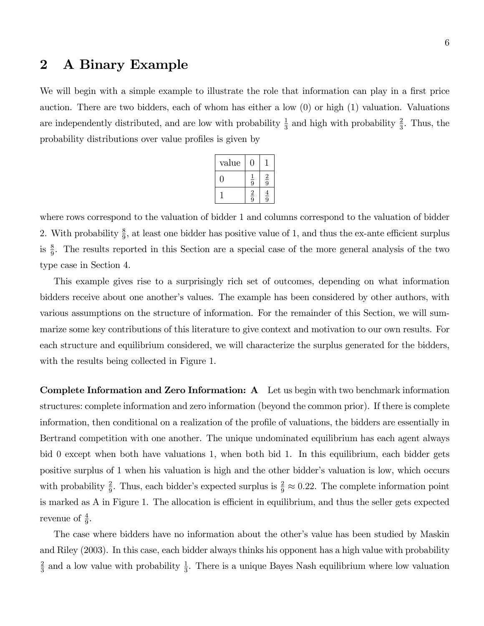# 2 A Binary Example

We will begin with a simple example to illustrate the role that information can play in a first price auction. There are two bidders, each of whom has either a low (0) or high (1) valuation. Valuations are independently distributed, and are low with probability  $\frac{1}{3}$  and high with probability  $\frac{2}{3}$ . Thus, the probability distributions over value profiles is given by

| value |               |               |
|-------|---------------|---------------|
|       | $\frac{1}{9}$ | $\frac{2}{9}$ |
|       | $\frac{2}{9}$ | $\frac{4}{9}$ |

where rows correspond to the valuation of bidder 1 and columns correspond to the valuation of bidder 2. With probability  $\frac{8}{9}$ , at least one bidder has positive value of 1, and thus the ex-ante efficient surplus is  $\frac{8}{9}$ . The results reported in this Section are a special case of the more general analysis of the two type case in Section 4.

This example gives rise to a surprisingly rich set of outcomes, depending on what information bidders receive about one another's values. The example has been considered by other authors, with various assumptions on the structure of information. For the remainder of this Section, we will summarize some key contributions of this literature to give context and motivation to our own results. For each structure and equilibrium considered, we will characterize the surplus generated for the bidders, with the results being collected in Figure 1.

Complete Information and Zero Information: A Let us begin with two benchmark information structures: complete information and zero information (beyond the common prior). If there is complete information, then conditional on a realization of the profile of valuations, the bidders are essentially in Bertrand competition with one another. The unique undominated equilibrium has each agent always bid 0 except when both have valuations 1, when both bid 1. In this equilibrium, each bidder gets positive surplus of 1 when his valuation is high and the other bidder's valuation is low, which occurs with probability  $\frac{2}{9}$ . Thus, each bidder's expected surplus is  $\frac{2}{9} \approx 0.22$ . The complete information point is marked as  $A$  in Figure 1. The allocation is efficient in equilibrium, and thus the seller gets expected revenue of  $\frac{4}{9}$ .

The case where bidders have no information about the other's value has been studied by Maskin and Riley (2003). In this case, each bidder always thinks his opponent has a high value with probability 2  $\frac{2}{3}$  and a low value with probability  $\frac{1}{3}$ . There is a unique Bayes Nash equilibrium where low valuation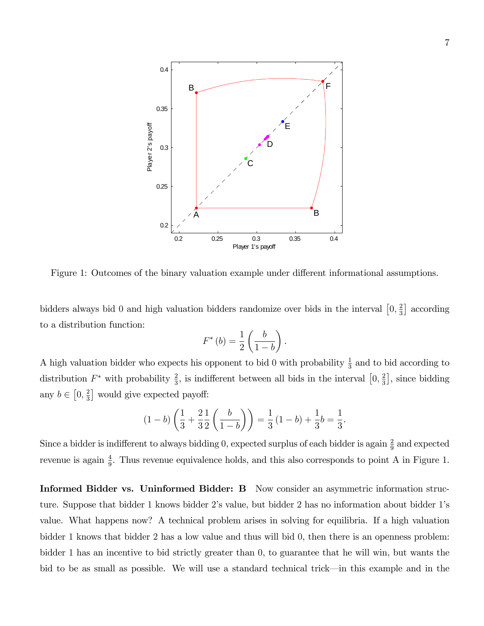

Figure 1: Outcomes of the binary valuation example under different informational assumptions.

bidders always bid 0 and high valuation bidders randomize over bids in the interval  $\left[0, \frac{2}{3}\right]$  $\frac{2}{3}$  according to a distribution function:

$$
F^*(b) = \frac{1}{2} \left( \frac{b}{1-b} \right).
$$

A high valuation bidder who expects his opponent to bid 0 with probability  $\frac{1}{3}$  and to bid according to distribution  $F^*$  with probability  $\frac{2}{3}$ , is indifferent between all bids in the interval  $\left[0, \frac{2}{3}\right]$  $\frac{2}{3}$ , since bidding any  $b \in \left[0, \frac{2}{3}\right]$  $\frac{2}{3}$  would give expected payoff:

$$
(1-b)\left(\frac{1}{3} + \frac{2}{3}\frac{1}{2}\left(\frac{b}{1-b}\right)\right) = \frac{1}{3}(1-b) + \frac{1}{3}b = \frac{1}{3}.
$$

Since a bidder is indifferent to always bidding 0, expected surplus of each bidder is again  $\frac{2}{9}$  and expected revenue is again  $\frac{4}{9}$ . Thus revenue equivalence holds, and this also corresponds to point A in Figure 1.

Informed Bidder vs. Uninformed Bidder: B Now consider an asymmetric information structure. Suppose that bidder 1 knows bidder 2ís value, but bidder 2 has no information about bidder 1ís value. What happens now? A technical problem arises in solving for equilibria. If a high valuation bidder 1 knows that bidder 2 has a low value and thus will bid 0, then there is an openness problem: bidder 1 has an incentive to bid strictly greater than 0, to guarantee that he will win, but wants the bid to be as small as possible. We will use a standard technical trick—in this example and in the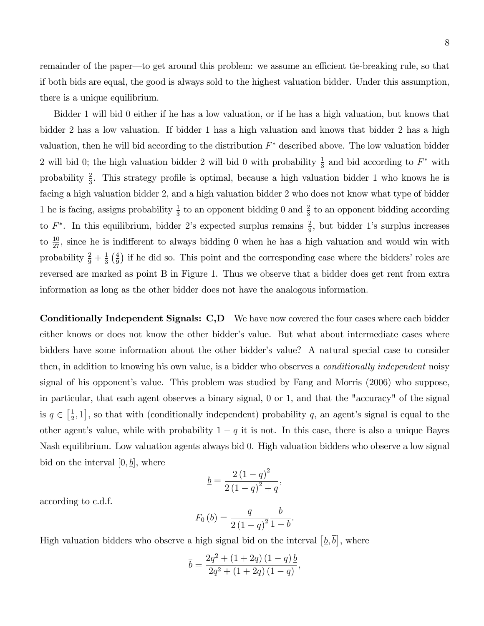remainder of the paper—to get around this problem: we assume an efficient tie-breaking rule, so that if both bids are equal, the good is always sold to the highest valuation bidder. Under this assumption, there is a unique equilibrium.

Bidder 1 will bid 0 either if he has a low valuation, or if he has a high valuation, but knows that bidder 2 has a low valuation. If bidder 1 has a high valuation and knows that bidder 2 has a high valuation, then he will bid according to the distribution  $F^*$  described above. The low valuation bidder 2 will bid 0; the high valuation bidder 2 will bid 0 with probability  $\frac{1}{3}$  and bid according to  $F^*$  with probability  $\frac{2}{3}$ . This strategy profile is optimal, because a high valuation bidder 1 who knows he is facing a high valuation bidder 2, and a high valuation bidder 2 who does not know what type of bidder 1 he is facing, assigns probability  $\frac{1}{3}$  to an opponent bidding 0 and  $\frac{2}{3}$  to an opponent bidding according to  $F^*$ . In this equilibrium, bidder 2's expected surplus remains  $\frac{2}{9}$ , but bidder 1's surplus increases to  $\frac{10}{27}$ , since he is indifferent to always bidding 0 when he has a high valuation and would win with probability  $\frac{2}{9} + \frac{1}{3}$  $rac{1}{3}$   $\left(\frac{4}{9}\right)$  $\frac{4}{9}$ ) if he did so. This point and the corresponding case where the bidders' roles are reversed are marked as point B in Figure 1. Thus we observe that a bidder does get rent from extra information as long as the other bidder does not have the analogous information.

Conditionally Independent Signals: C,D We have now covered the four cases where each bidder either knows or does not know the other bidder's value. But what about intermediate cases where bidders have some information about the other bidder's value? A natural special case to consider then, in addition to knowing his own value, is a bidder who observes a conditionally independent noisy signal of his opponent's value. This problem was studied by Fang and Morris (2006) who suppose, in particular, that each agent observes a binary signal, 0 or 1, and that the "accuracy" of the signal is  $q \in \left[\frac{1}{2}\right]$  $\frac{1}{2}$ , 1, so that with (conditionally independent) probability q, an agent's signal is equal to the other agent's value, while with probability  $1 - q$  it is not. In this case, there is also a unique Bayes Nash equilibrium. Low valuation agents always bid 0. High valuation bidders who observe a low signal bid on the interval  $[0, b]$ , where

$$
\underline{b} = \frac{2(1-q)^2}{2(1-q)^2+q},
$$

according to c.d.f.

$$
F_0 (b) = \frac{q}{2(1-q)^2} \frac{b}{1-b}.
$$

High valuation bidders who observe a high signal bid on the interval  $[\underline{b}, \overline{b}]$ , where

$$
\overline{b} = \frac{2q^2 + (1 + 2q)(1 - q)}{2q^2 + (1 + 2q)(1 - q)},
$$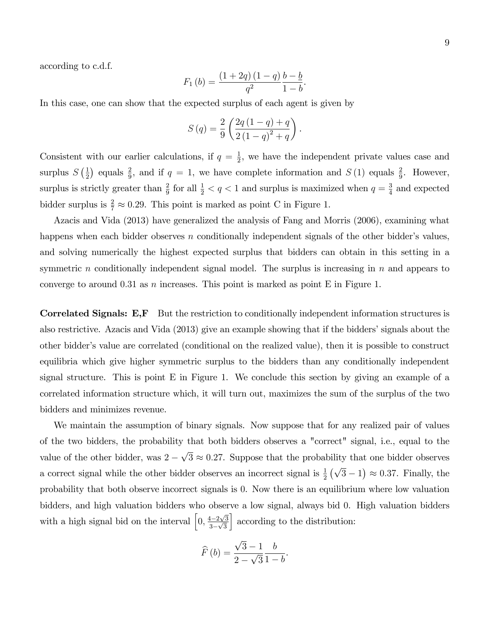according to c.d.f.

$$
F_1 (b) = \frac{(1+2q) (1-q) b - b}{q^2}
$$

.

In this case, one can show that the expected surplus of each agent is given by

$$
S(q) = \frac{2}{9} \left( \frac{2q(1-q) + q}{2(1-q)^2 + q} \right).
$$

Consistent with our earlier calculations, if  $q = \frac{1}{2}$  $\frac{1}{2}$ , we have the independent private values case and surplus  $S\left(\frac{1}{2}\right)$  $\frac{1}{2}$  equals  $\frac{2}{9}$ , and if  $q = 1$ , we have complete information and  $S(1)$  equals  $\frac{2}{9}$ . However, surplus is strictly greater than  $\frac{2}{9}$  for all  $\frac{1}{2} < q < 1$  and surplus is maximized when  $q = \frac{3}{4}$  $\frac{3}{4}$  and expected bidder surplus is  $\frac{2}{7} \approx 0.29$ . This point is marked as point C in Figure 1.

Azacis and Vida (2013) have generalized the analysis of Fang and Morris (2006), examining what happens when each bidder observes n conditionally independent signals of the other bidder's values, and solving numerically the highest expected surplus that bidders can obtain in this setting in a symmetric  $n$  conditionally independent signal model. The surplus is increasing in  $n$  and appears to converge to around 0.31 as n increases. This point is marked as point  $E$  in Figure 1.

Correlated Signals: E,F But the restriction to conditionally independent information structures is also restrictive. Azacis and Vida (2013) give an example showing that if the bidders' signals about the other bidderís value are correlated (conditional on the realized value), then it is possible to construct equilibria which give higher symmetric surplus to the bidders than any conditionally independent signal structure. This is point E in Figure 1. We conclude this section by giving an example of a correlated information structure which, it will turn out, maximizes the sum of the surplus of the two bidders and minimizes revenue.

We maintain the assumption of binary signals. Now suppose that for any realized pair of values of the two bidders, the probability that both bidders observes a "correct" signal, i.e., equal to the value of the other bidder, was  $2 - \sqrt{3} \approx 0.27$ . Suppose that the probability that one bidder observes a correct signal while the other bidder observes an incorrect signal is  $\frac{1}{2}(\sqrt{3}-1) \approx 0.37$ . Finally, the probability that both observe incorrect signals is 0. Now there is an equilibrium where low valuation bidders, and high valuation bidders who observe a low signal, always bid 0. High valuation bidders with a high signal bid on the interval  $\left[0, \frac{4-2\sqrt{3}}{2\sqrt{2}}\right]$  $\frac{1}{3-\sqrt{3}}$ I according to the distribution:

$$
\widehat{F}(b) = \frac{\sqrt{3} - 1}{2 - \sqrt{3}} \frac{b}{1 - b}.
$$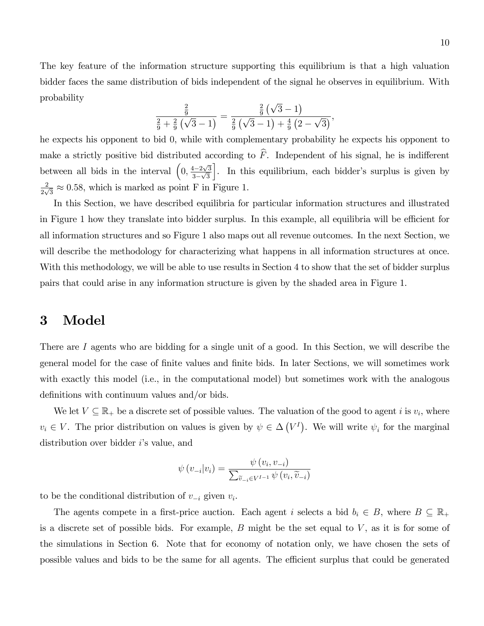The key feature of the information structure supporting this equilibrium is that a high valuation bidder faces the same distribution of bids independent of the signal he observes in equilibrium. With probability

$$
\frac{\frac{2}{9}}{\frac{2}{9} + \frac{2}{9} (\sqrt{3} - 1)} = \frac{\frac{2}{9} (\sqrt{3} - 1)}{\frac{2}{9} (\sqrt{3} - 1) + \frac{4}{9} (2 - \sqrt{3})},
$$

he expects his opponent to bid 0, while with complementary probability he expects his opponent to make a strictly positive bid distributed according to  $\widehat{F}$ . Independent of his signal, he is indifferent between all bids in the interval  $\left(0, \frac{4-2\sqrt{3}}{2\sqrt{5}}\right)$  $\frac{1}{3-\sqrt{3}}$ . In this equilibrium, each bidder's surplus is given by 2  $\frac{2}{2\sqrt{3}} \approx 0.58$ , which is marked as point F in Figure 1.

In this Section, we have described equilibria for particular information structures and illustrated in Figure 1 how they translate into bidder surplus. In this example, all equilibria will be efficient for all information structures and so Figure 1 also maps out all revenue outcomes. In the next Section, we will describe the methodology for characterizing what happens in all information structures at once. With this methodology, we will be able to use results in Section 4 to show that the set of bidder surplus pairs that could arise in any information structure is given by the shaded area in Figure 1.

## 3 Model

There are I agents who are bidding for a single unit of a good. In this Section, we will describe the general model for the case of Önite values and Önite bids. In later Sections, we will sometimes work with exactly this model (i.e., in the computational model) but sometimes work with the analogous definitions with continuum values and/or bids.

We let  $V \subseteq \mathbb{R}_+$  be a discrete set of possible values. The valuation of the good to agent i is  $v_i$ , where  $v_i \in V$ . The prior distribution on values is given by  $\psi \in \Delta(V^I)$ . We will write  $\psi_i$  for the marginal distribution over bidder  $i$ 's value, and

$$
\psi(v_{-i}|v_i) = \frac{\psi(v_i, v_{-i})}{\sum_{\widetilde{v}_{-i} \in V^{I-1}} \psi(v_i, \widetilde{v}_{-i})}
$$

to be the conditional distribution of  $v_{-i}$  given  $v_i$ .

The agents compete in a first-price auction. Each agent i selects a bid  $b_i \in B$ , where  $B \subseteq \mathbb{R}_+$ is a discrete set of possible bids. For example,  $B$  might be the set equal to  $V$ , as it is for some of the simulations in Section 6. Note that for economy of notation only, we have chosen the sets of possible values and bids to be the same for all agents. The efficient surplus that could be generated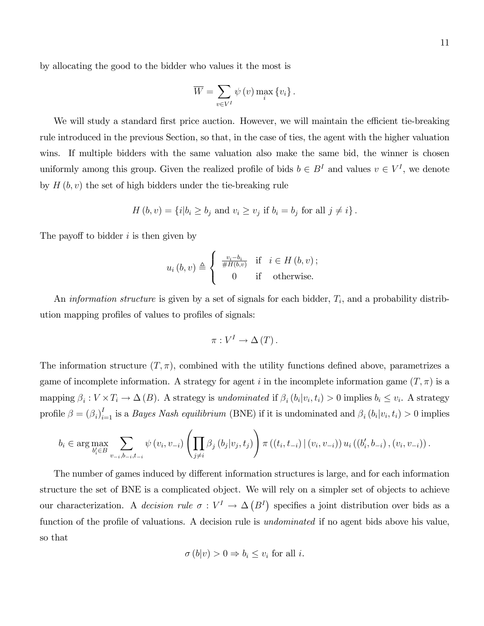$$
\overline{W} = \sum_{v \in V^{I}} \psi(v) \max_{i} \{v_{i}\}.
$$

We will study a standard first price auction. However, we will maintain the efficient tie-breaking rule introduced in the previous Section, so that, in the case of ties, the agent with the higher valuation wins. If multiple bidders with the same valuation also make the same bid, the winner is chosen uniformly among this group. Given the realized profile of bids  $b \in B<sup>I</sup>$  and values  $v \in V<sup>I</sup>$ , we denote by  $H(b, v)$  the set of high bidders under the tie-breaking rule

$$
H(b, v) = \{i | b_i \ge b_j \text{ and } v_i \ge v_j \text{ if } b_i = b_j \text{ for all } j \ne i \}.
$$

The payoff to bidder  $i$  is then given by

$$
u_{i}(b, v) \triangleq \begin{cases} \frac{v_{i} - b_{i}}{\#H(b, v)} & \text{if } i \in H(b, v); \\ 0 & \text{if } \text{otherwise.} \end{cases}
$$

An *information structure* is given by a set of signals for each bidder,  $T_i$ , and a probability distribution mapping profiles of values to profiles of signals:

$$
\pi: V^I \to \Delta(T).
$$

The information structure  $(T, \pi)$ , combined with the utility functions defined above, parametrizes a game of incomplete information. A strategy for agent i in the incomplete information game  $(T, \pi)$  is a mapping  $\beta_i : V \times T_i \to \Delta(B)$ . A strategy is undominated if  $\beta_i(b_i|v_i,t_i) > 0$  implies  $b_i \leq v_i$ . A strategy profile  $\beta = (\beta_i)_{i=1}^I$  is a *Bayes Nash equilibrium* (BNE) if it is undominated and  $\beta_i(b_i|v_i, t_i) > 0$  implies

$$
b_{i} \in \arg \max_{b'_{i} \in B} \sum_{v_{-i}, b_{-i}, t_{-i}} \psi(v_{i}, v_{-i}) \left( \prod_{j \neq i} \beta_{j} (b_{j} | v_{j}, t_{j}) \right) \pi((t_{i}, t_{-i}) | (v_{i}, v_{-i})) u_{i} ((b'_{i}, b_{-i}), (v_{i}, v_{-i})).
$$

The number of games induced by different information structures is large, and for each information structure the set of BNE is a complicated object. We will rely on a simpler set of objects to achieve our characterization. A *decision rule*  $\sigma: V^I \to \Delta(B^I)$  specifies a joint distribution over bids as a function of the profile of valuations. A decision rule is *undominated* if no agent bids above his value, so that

$$
\sigma(b|v) > 0 \Rightarrow b_i \le v_i \text{ for all } i.
$$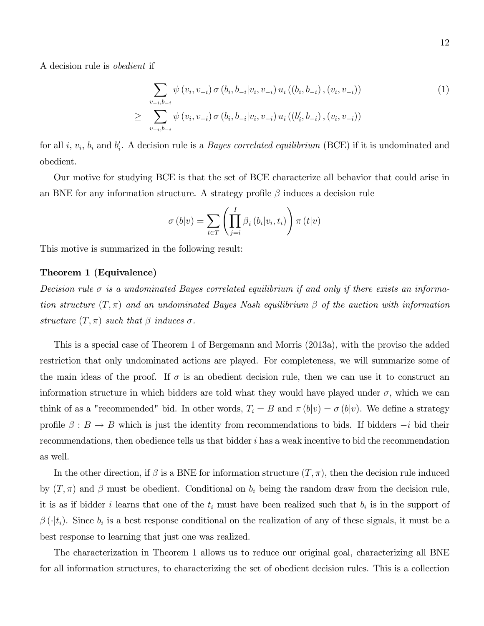A decision rule is obedient if

$$
\sum_{v_{-i},b_{-i}} \psi(v_i, v_{-i}) \sigma(b_i, b_{-i}|v_i, v_{-i}) u_i((b_i, b_{-i}), (v_i, v_{-i}))
$$
\n
$$
\geq \sum_{v_{-i},b_{-i}} \psi(v_i, v_{-i}) \sigma(b_i, b_{-i}|v_i, v_{-i}) u_i((b'_i, b_{-i}), (v_i, v_{-i}))
$$
\n(1)

for all *i*,  $v_i$ ,  $b_i$  and  $b'_i$ . A decision rule is a *Bayes correlated equilibrium* (BCE) if it is undominated and obedient.

Our motive for studying BCE is that the set of BCE characterize all behavior that could arise in an BNE for any information structure. A strategy profile  $\beta$  induces a decision rule

$$
\sigma\left(b|v\right) = \sum_{t \in T} \left(\prod_{j=i}^{I} \beta_i\left(b_i|v_i, t_i\right)\right) \pi\left(t|v\right)
$$

This motive is summarized in the following result:

#### Theorem 1 (Equivalence)

Decision rule  $\sigma$  is a undominated Bayes correlated equilibrium if and only if there exists an information structure  $(T, \pi)$  and an undominated Bayes Nash equilibrium  $\beta$  of the auction with information structure  $(T, \pi)$  such that  $\beta$  induces  $\sigma$ .

This is a special case of Theorem 1 of Bergemann and Morris (2013a), with the proviso the added restriction that only undominated actions are played. For completeness, we will summarize some of the main ideas of the proof. If  $\sigma$  is an obedient decision rule, then we can use it to construct an information structure in which bidders are told what they would have played under  $\sigma$ , which we can think of as a "recommended" bid. In other words,  $T_i = B$  and  $\pi(b|v) = \sigma(b|v)$ . We define a strategy profile  $\beta : B \to B$  which is just the identity from recommendations to bids. If bidders  $-i$  bid their recommendations, then obedience tells us that bidder  $i$  has a weak incentive to bid the recommendation as well.

In the other direction, if  $\beta$  is a BNE for information structure  $(T, \pi)$ , then the decision rule induced by  $(T, \pi)$  and  $\beta$  must be obedient. Conditional on  $b_i$  being the random draw from the decision rule, it is as if bidder i learns that one of the  $t_i$  must have been realized such that  $b_i$  is in the support of  $\beta(\cdot|t_i)$ . Since  $b_i$  is a best response conditional on the realization of any of these signals, it must be a best response to learning that just one was realized.

The characterization in Theorem 1 allows us to reduce our original goal, characterizing all BNE for all information structures, to characterizing the set of obedient decision rules. This is a collection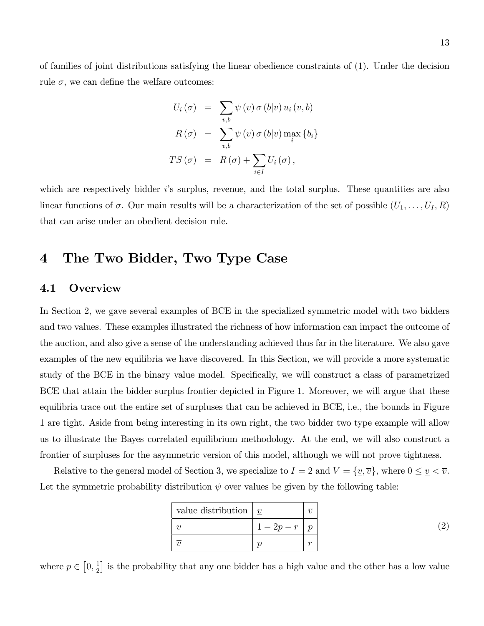of families of joint distributions satisfying the linear obedience constraints of (1). Under the decision rule  $\sigma$ , we can define the welfare outcomes:

$$
U_i(\sigma) = \sum_{v,b} \psi(v) \sigma(b|v) u_i(v,b)
$$
  

$$
R(\sigma) = \sum_{v,b} \psi(v) \sigma(b|v) \max_i \{b_i\}
$$
  

$$
TS(\sigma) = R(\sigma) + \sum_{i \in I} U_i(\sigma),
$$

which are respectively bidder  $i$ 's surplus, revenue, and the total surplus. These quantities are also linear functions of  $\sigma$ . Our main results will be a characterization of the set of possible  $(U_1, \ldots, U_I, R)$ that can arise under an obedient decision rule.

# 4 The Two Bidder, Two Type Case

## 4.1 Overview

In Section 2, we gave several examples of BCE in the specialized symmetric model with two bidders and two values. These examples illustrated the richness of how information can impact the outcome of the auction, and also give a sense of the understanding achieved thus far in the literature. We also gave examples of the new equilibria we have discovered. In this Section, we will provide a more systematic study of the BCE in the binary value model. Specifically, we will construct a class of parametrized BCE that attain the bidder surplus frontier depicted in Figure 1. Moreover, we will argue that these equilibria trace out the entire set of surpluses that can be achieved in BCE, i.e., the bounds in Figure 1 are tight. Aside from being interesting in its own right, the two bidder two type example will allow us to illustrate the Bayes correlated equilibrium methodology. At the end, we will also construct a frontier of surpluses for the asymmetric version of this model, although we will not prove tightness.

Relative to the general model of Section 3, we specialize to  $I = 2$  and  $V = {\underline{v}, \overline{v}}$ , where  $0 \leq {\underline{v}} < \overline{v}$ . Let the symmetric probability distribution  $\psi$  over values be given by the following table:

| value distribution | $\boldsymbol{v}$ |  |
|--------------------|------------------|--|
|                    | $1 - 2p - r$     |  |
|                    |                  |  |

where  $p \in \left[0, \frac{1}{2}\right]$  $\frac{1}{2}$  is the probability that any one bidder has a high value and the other has a low value

(2)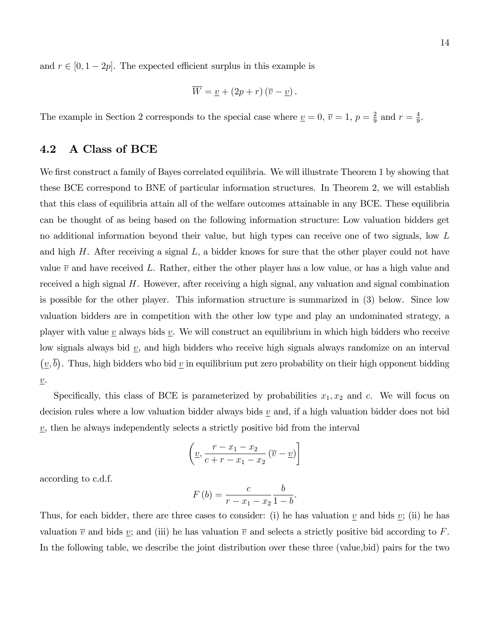and  $r \in [0, 1 - 2p]$ . The expected efficient surplus in this example is

$$
\overline{W} = \underline{v} + (2p + r)(\overline{v} - \underline{v}).
$$

The example in Section 2 corresponds to the special case where  $v = 0$ ,  $\overline{v} = 1$ ,  $p = \frac{2}{9}$  $rac{2}{9}$  and  $r = \frac{4}{9}$  $\frac{4}{9}$ .

## 4.2 A Class of BCE

We first construct a family of Bayes correlated equilibria. We will illustrate Theorem 1 by showing that these BCE correspond to BNE of particular information structures. In Theorem 2, we will establish that this class of equilibria attain all of the welfare outcomes attainable in any BCE. These equilibria can be thought of as being based on the following information structure: Low valuation bidders get no additional information beyond their value, but high types can receive one of two signals, low L and high  $H$ . After receiving a signal  $L$ , a bidder knows for sure that the other player could not have value  $\overline{v}$  and have received L. Rather, either the other player has a low value, or has a high value and received a high signal  $H$ . However, after receiving a high signal, any valuation and signal combination is possible for the other player. This information structure is summarized in (3) below. Since low valuation bidders are in competition with the other low type and play an undominated strategy, a player with value  $\underline{v}$  always bids  $\underline{v}$ . We will construct an equilibrium in which high bidders who receive low signals always bid  $v$ , and high bidders who receive high signals always randomize on an interval  $(\underline{v}, \overline{b})$ . Thus, high bidders who bid  $\underline{v}$  in equilibrium put zero probability on their high opponent bidding  $\underline{v}$ .

Specifically, this class of BCE is parameterized by probabilities  $x_1, x_2$  and c. We will focus on decision rules where a low valuation bidder always bids  $\underline{v}$  and, if a high valuation bidder does not bid  $\underline{v}$ , then he always independently selects a strictly positive bid from the interval

$$
\left(\underline{v}, \frac{r - x_1 - x_2}{c + r - x_1 - x_2} \left(\overline{v} - \underline{v}\right)\right]
$$

according to c.d.f.

$$
F\left(b\right) = \frac{c}{r - x_1 - x_2} \frac{b}{1 - b}
$$

.

Thus, for each bidder, there are three cases to consider: (i) he has valuation  $\underline{v}$  and bids  $\underline{v}$ ; (ii) he has valuation  $\overline{v}$  and bids v; and (iii) he has valuation  $\overline{v}$  and selects a strictly positive bid according to F. In the following table, we describe the joint distribution over these three (value,bid) pairs for the two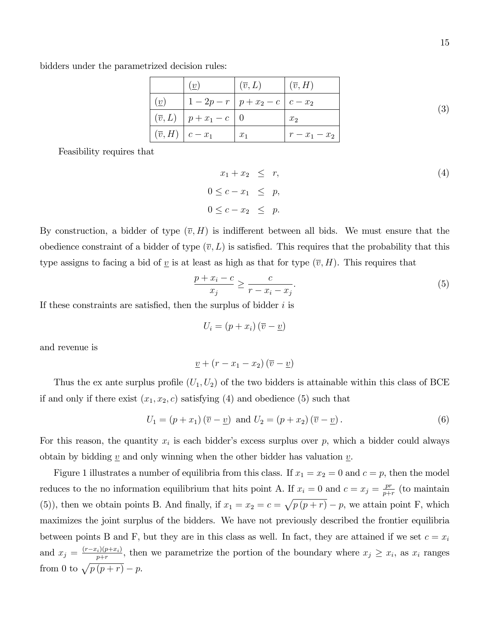bidders under the parametrized decision rules:

|                                            | (v)                                        | $\mid (\overline{v}, L) \mid$ | $ (\overline{v},H) $ |     |
|--------------------------------------------|--------------------------------------------|-------------------------------|----------------------|-----|
| (v)                                        | $1-2p-r$   $p+x_2-c$   $c-x_2$             |                               |                      | (3) |
|                                            | $\pi(\overline{v}, L)$   $p + x_1 - c$   0 |                               | $x_2$                |     |
| $\vert (\overline{v},H) \vert c-x_1 \vert$ |                                            | $x_1$                         | $r - x_1 - x_2$      |     |

Feasibility requires that

$$
x_1 + x_2 \leq r,
$$
  
\n
$$
0 \leq c - x_1 \leq p,
$$
  
\n
$$
0 \leq c - x_2 \leq p.
$$
  
\n(4)

By construction, a bidder of type  $(\overline{v}, H)$  is indifferent between all bids. We must ensure that the obedience constraint of a bidder of type  $(\overline{v}, L)$  is satisfied. This requires that the probability that this type assigns to facing a bid of <u>v</u> is at least as high as that for type  $(\overline{v}, H)$ . This requires that

$$
\frac{p+x_i-c}{x_j} \ge \frac{c}{r-x_i-x_j}.\tag{5}
$$

If these constraints are satisfied, then the surplus of bidder  $i$  is

$$
U_i = (p + x_i) (\overline{v} - \underline{v})
$$

and revenue is

$$
\underline{v} + (r - x_1 - x_2)(\overline{v} - \underline{v})
$$

Thus the ex ante surplus profile  $(U_1, U_2)$  of the two bidders is attainable within this class of BCE if and only if there exist  $(x_1, x_2, c)$  satisfying (4) and obedience (5) such that

$$
U_1 = (p + x_1)(\overline{v} - \underline{v}) \text{ and } U_2 = (p + x_2)(\overline{v} - \underline{v}).
$$
\n(6)

For this reason, the quantity  $x_i$  is each bidder's excess surplus over p, which a bidder could always obtain by bidding  $\underline{v}$  and only winning when the other bidder has valuation  $\underline{v}$ .

Figure 1 illustrates a number of equilibria from this class. If  $x_1 = x_2 = 0$  and  $c = p$ , then the model reduces to the no information equilibrium that hits point A. If  $x_i = 0$  and  $c = x_j = \frac{pr}{n+1}$  $\frac{pr}{p+r}$  (to maintain (5)), then we obtain points B. And finally, if  $x_1 = x_2 = c = \sqrt{p(p+r)} - p$ , we attain point F, which maximizes the joint surplus of the bidders. We have not previously described the frontier equilibria between points B and F, but they are in this class as well. In fact, they are attained if we set  $c = x_i$ and  $x_j = \frac{(r-x_i)(p+x_i)}{p+r}$ , then we parametrize the portion of the boundary where  $x_j \geq x_i$ , as  $x_i$  ranges from 0 to  $\sqrt{p(p+r)} - p$ .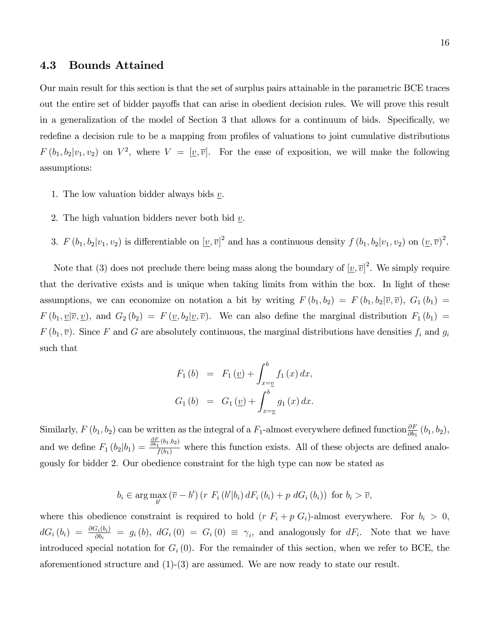#### 4.3 Bounds Attained

Our main result for this section is that the set of surplus pairs attainable in the parametric BCE traces out the entire set of bidder payoffs that can arise in obedient decision rules. We will prove this result in a generalization of the model of Section 3 that allows for a continuum of bids. Specifically, we redefine a decision rule to be a mapping from profiles of valuations to joint cumulative distributions  $F(b_1, b_2|v_1, v_2)$  on  $V^2$ , where  $V = [\underline{v}, \overline{v}]$ . For the ease of exposition, we will make the following assumptions:

- 1. The low valuation bidder always bids  $\underline{v}$ .
- 2. The high valuation bidders never both bid  $v$ .
- 3.  $F(b_1, b_2|v_1, v_2)$  is differentiable on  $[\underline{v}, \overline{v}]^2$  and has a continuous density  $f(b_1, b_2|v_1, v_2)$  on  $(\underline{v}, \overline{v})^2$ .

Note that (3) does not preclude there being mass along the boundary of  $[\underline{v}, \overline{v}]^2$ . We simply require that the derivative exists and is unique when taking limits from within the box. In light of these assumptions, we can economize on notation a bit by writing  $F(b_1, b_2) = F(b_1, b_2 | \overline{v}, \overline{v})$ ,  $G_1(b_1) =$  $F(b_1, \underline{v}|\overline{v}, \underline{v})$ , and  $G_2(b_2) = F(\underline{v}, b_2 | \underline{v}, \overline{v})$ . We can also define the marginal distribution  $F_1(b_1) =$  $F(b_1, \overline{v})$ . Since F and G are absolutely continuous, the marginal distributions have densities  $f_i$  and  $g_i$ such that

$$
F_1 (b) = F_1 (\underline{v}) + \int_{x=\underline{v}}^b f_1 (x) dx,
$$
  
\n
$$
G_1 (b) = G_1 (\underline{v}) + \int_{x=\underline{v}}^b g_1 (x) dx.
$$

Similarly,  $F(b_1, b_2)$  can be written as the integral of a  $F_1$ -almost everywhere defined function  $\frac{\partial F}{\partial b_1}(b_1, b_2)$ , and we define  $F_1(b_2|b_1) = \frac{\frac{\partial F}{\partial b_1}(b_1,b_2)}{f(b_1)}$  where this function exists. All of these objects are defined analogously for bidder 2. Our obedience constraint for the high type can now be stated as

$$
b_i \in \arg\max_{b'} \left(\overline{v} - b'\right) \left(r \ F_i\left(b'|b_i\right) dF_i\left(b_i\right) + p \ dG_i\left(b_i\right)\right) \text{ for } b_i > \overline{v},
$$

where this obedience constraint is required to hold  $(r F_i + p G_i)$ -almost everywhere. For  $b_i > 0$ ,  $dG_i(b_i) = \frac{\partial G_i(b_i)}{\partial b_i} = g_i(b), dG_i(0) = G_i(0) \equiv \gamma_i$ , and analogously for  $dF_i$ . Note that we have introduced special notation for  $G_i(0)$ . For the remainder of this section, when we refer to BCE, the aforementioned structure and (1)-(3) are assumed. We are now ready to state our result.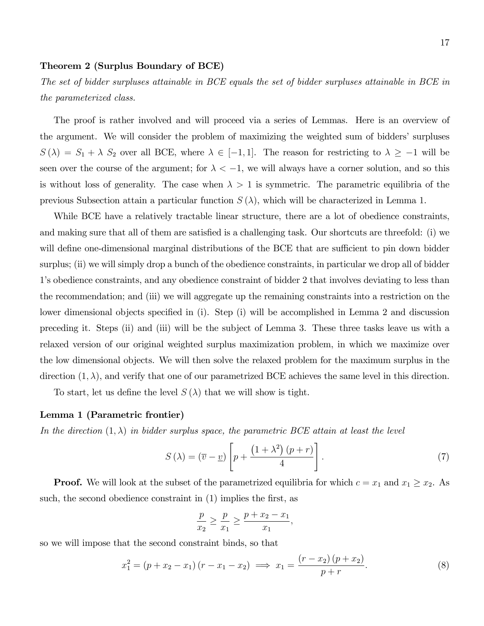#### Theorem 2 (Surplus Boundary of BCE)

The set of bidder surpluses attainable in BCE equals the set of bidder surpluses attainable in BCE in the parameterized class.

The proof is rather involved and will proceed via a series of Lemmas. Here is an overview of the argument. We will consider the problem of maximizing the weighted sum of biddersí surpluses  $S(\lambda) = S_1 + \lambda S_2$  over all BCE, where  $\lambda \in [-1, 1]$ . The reason for restricting to  $\lambda \ge -1$  will be seen over the course of the argument; for  $\lambda < -1$ , we will always have a corner solution, and so this is without loss of generality. The case when  $\lambda > 1$  is symmetric. The parametric equilibria of the previous Subsection attain a particular function  $S(\lambda)$ , which will be characterized in Lemma 1.

While BCE have a relatively tractable linear structure, there are a lot of obedience constraints, and making sure that all of them are satisfied is a challenging task. Our shortcuts are threefold: (i) we will define one-dimensional marginal distributions of the BCE that are sufficient to pin down bidder surplus; (ii) we will simply drop a bunch of the obedience constraints, in particular we drop all of bidder 1ís obedience constraints, and any obedience constraint of bidder 2 that involves deviating to less than the recommendation; and (iii) we will aggregate up the remaining constraints into a restriction on the lower dimensional objects specified in  $(i)$ . Step  $(i)$  will be accomplished in Lemma 2 and discussion preceding it. Steps (ii) and (iii) will be the subject of Lemma 3. These three tasks leave us with a relaxed version of our original weighted surplus maximization problem, in which we maximize over the low dimensional objects. We will then solve the relaxed problem for the maximum surplus in the direction  $(1, \lambda)$ , and verify that one of our parametrized BCE achieves the same level in this direction.

To start, let us define the level  $S(\lambda)$  that we will show is tight.

#### Lemma 1 (Parametric frontier)

In the direction  $(1, \lambda)$  in bidder surplus space, the parametric BCE attain at least the level

$$
S(\lambda) = (\overline{v} - \underline{v}) \left[ p + \frac{\left(1 + \lambda^2\right)(p+r)}{4} \right]. \tag{7}
$$

**Proof.** We will look at the subset of the parametrized equilibria for which  $c = x_1$  and  $x_1 \ge x_2$ . As such, the second obedience constraint in  $(1)$  implies the first, as

$$
\frac{p}{x_2} \ge \frac{p}{x_1} \ge \frac{p + x_2 - x_1}{x_1}
$$

so we will impose that the second constraint binds, so that

$$
x_1^2 = (p + x_2 - x_1)(r - x_1 - x_2) \implies x_1 = \frac{(r - x_2)(p + x_2)}{p + r}.
$$
 (8)

;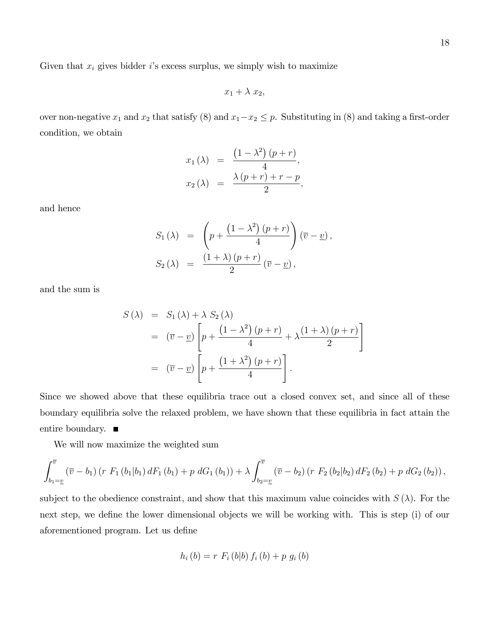Given that  $x_i$  gives bidder i's excess surplus, we simply wish to maximize

$$
x_1 + \lambda x_2,
$$

over non-negative  $x_1$  and  $x_2$  that satisfy (8) and  $x_1-x_2 \leq p$ . Substituting in (8) and taking a first-order condition, we obtain

$$
x_1(\lambda) = \frac{\left(1 - \lambda^2\right)(p+r)}{4},
$$
  

$$
x_2(\lambda) = \frac{\lambda(p+r) + r - p}{2},
$$

and hence

$$
S_1(\lambda) = \left( p + \frac{\left(1 - \lambda^2\right)(p+r)}{4} \right) (\overline{v} - \underline{v}),
$$
  
\n
$$
S_2(\lambda) = \frac{\left(1 + \lambda\right)(p+r)}{2} (\overline{v} - \underline{v}),
$$

and the sum is

$$
S(\lambda) = S_1(\lambda) + \lambda S_2(\lambda)
$$
  
=  $(\overline{v} - \underline{v}) \left[ p + \frac{(1 - \lambda^2) (p + r)}{4} + \lambda \frac{(1 + \lambda) (p + r)}{2} \right]$   
=  $(\overline{v} - \underline{v}) \left[ p + \frac{(1 + \lambda^2) (p + r)}{4} \right].$ 

Since we showed above that these equilibria trace out a closed convex set, and since all of these boundary equilibria solve the relaxed problem, we have shown that these equilibria in fact attain the entire boundary.

We will now maximize the weighted sum

$$
\int_{b_1=\underline{v}}^{\overline{v}} (\overline{v}-b_1) (r F_1 (b_1|b_1) dF_1 (b_1) + p dG_1 (b_1)) + \lambda \int_{b_2=\underline{v}}^{\overline{v}} (\overline{v}-b_2) (r F_2 (b_2|b_2) dF_2 (b_2) + p dG_2 (b_2)),
$$

subject to the obedience constraint, and show that this maximum value coincides with  $S(\lambda)$ . For the next step, we define the lower dimensional objects we will be working with. This is step (i) of our aforementioned program. Let us define

$$
h_i(b) = r F_i(b|b) f_i(b) + p g_i(b)
$$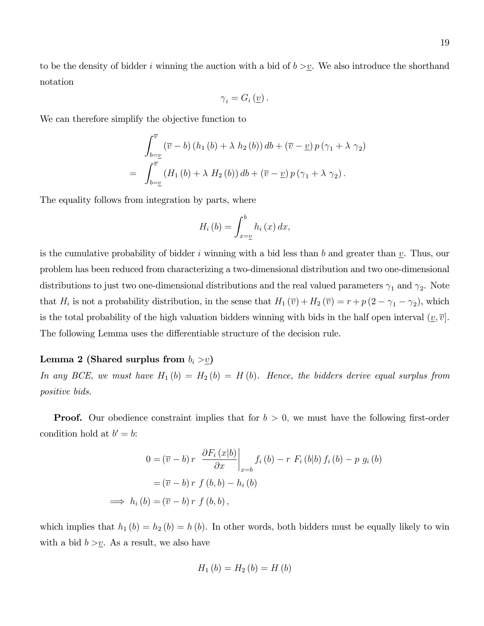to be the density of bidder i winning the auction with a bid of  $b > v$ . We also introduce the shorthand notation

$$
\gamma_i = G_i\left(\underline{v}\right).
$$

We can therefore simplify the objective function to

$$
\int_{b=\underline{v}}^{\overline{v}} (\overline{v} - b) (h_1 (b) + \lambda h_2 (b)) db + (\overline{v} - \underline{v}) p (\gamma_1 + \lambda \gamma_2)
$$
  
= 
$$
\int_{b=\underline{v}}^{\overline{v}} (H_1 (b) + \lambda H_2 (b)) db + (\overline{v} - \underline{v}) p (\gamma_1 + \lambda \gamma_2).
$$

The equality follows from integration by parts, where

$$
H_i\left(b\right) = \int_{x=\underline{v}}^b h_i\left(x\right) dx,
$$

is the cumulative probability of bidder i winning with a bid less than b and greater than  $v$ . Thus, our problem has been reduced from characterizing a two-dimensional distribution and two one-dimensional distributions to just two one-dimensional distributions and the real valued parameters  $\gamma_1$  and  $\gamma_2$ . Note that  $H_i$  is not a probability distribution, in the sense that  $H_1(\overline{v}) + H_2(\overline{v}) = r + p(2 - \gamma_1 - \gamma_2)$ , which is the total probability of the high valuation bidders winning with bids in the half open interval  $(v,\bar{v})$ . The following Lemma uses the differentiable structure of the decision rule.

#### Lemma 2 (Shared surplus from  $b_i > v$ )

In any BCE, we must have  $H_1(b) = H_2(b) = H(b)$ . Hence, the bidders derive equal surplus from positive bids.

**Proof.** Our obedience constraint implies that for  $b > 0$ , we must have the following first-order condition hold at  $b' = b$ :

$$
0 = (\overline{v} - b) r \left. \frac{\partial F_i(x|b)}{\partial x} \right|_{x=b} f_i(b) - r F_i(b|b) f_i(b) - p g_i(b)
$$

$$
= (\overline{v} - b) r f(b, b) - h_i(b)
$$

$$
\implies h_i(b) = (\overline{v} - b) r f(b, b),
$$

which implies that  $h_1 (b) = h_2 (b) = h (b)$ . In other words, both bidders must be equally likely to win with a bid  $b > \underline{v}$ . As a result, we also have

$$
H_{1}\left( b\right) =H_{2}\left( b\right) =H\left( b\right)
$$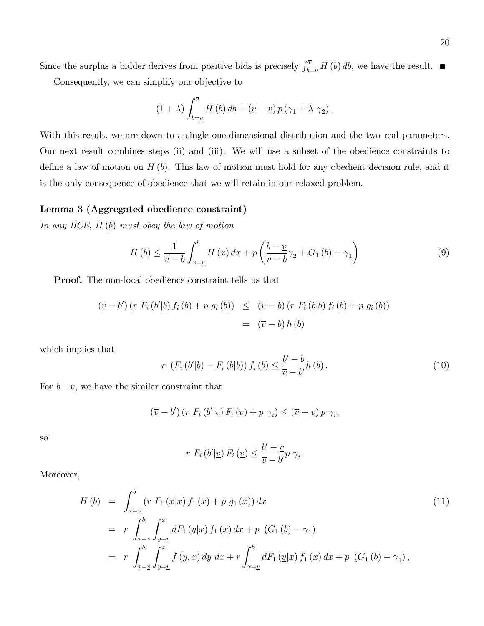Since the surplus a bidder derives from positive bids is precisely  $\int_{b=v}^{\overline{v}} H(b) db$ , we have the result.

Consequently, we can simplify our objective to

$$
(1 + \lambda) \int_{b=\underline{v}}^{\overline{v}} H(b) db + (\overline{v} - \underline{v}) p (\gamma_1 + \lambda \gamma_2).
$$

With this result, we are down to a single one-dimensional distribution and the two real parameters. Our next result combines steps (ii) and (iii). We will use a subset of the obedience constraints to define a law of motion on  $H(b)$ . This law of motion must hold for any obedient decision rule, and it is the only consequence of obedience that we will retain in our relaxed problem.

#### Lemma 3 (Aggregated obedience constraint)

In any BCE, H (b) must obey the law of motion

$$
H\left(b\right) \leq \frac{1}{\overline{v} - b} \int_{x=\underline{v}}^{b} H\left(x\right) dx + p \left(\frac{b-\underline{v}}{\overline{v} - b} \gamma_2 + G_1\left(b\right) - \gamma_1\right) \tag{9}
$$

Proof. The non-local obedience constraint tells us that

$$
(\overline{v} - b') (r F_i (b'|b) f_i (b) + p g_i (b)) \leq (\overline{v} - b) (r F_i (b|b) f_i (b) + p g_i (b))
$$
  
= 
$$
(\overline{v} - b) h (b)
$$

which implies that

$$
r\ \left(F_i\left(b'|b\right) - F_i\left(b|b\right)\right) f_i\left(b\right) \le \frac{b'-b}{\overline{v}-b'} h\left(b\right). \tag{10}
$$

For  $b = v$ , we have the similar constraint that

$$
(\overline{v}-b')\left(r \ F_i\left(b'| \underline{v}\right) F_i\left(\underline{v}\right)+p \ \gamma_i\right) \leq (\overline{v}-\underline{v}) \ p \ \gamma_i,
$$

so

$$
r F_i(b'| \underline{v}) F_i(\underline{v}) \leq \frac{b'-\underline{v}}{\overline{v}-b'} p \gamma_i.
$$

Moreover,

$$
H (b) = \int_{x=\underline{v}}^{b} (r F_1(x|x) f_1(x) + p g_1(x)) dx
$$
  
\n
$$
= r \int_{x=\underline{v}}^{b} \int_{y=\underline{v}}^{x} dF_1(y|x) f_1(x) dx + p (G_1(b) - \gamma_1)
$$
  
\n
$$
= r \int_{x=\underline{v}}^{b} \int_{y=\underline{v}}^{x} f(y,x) dy dx + r \int_{x=\underline{v}}^{b} dF_1(\underline{v}|x) f_1(x) dx + p (G_1(b) - \gamma_1),
$$
\n(11)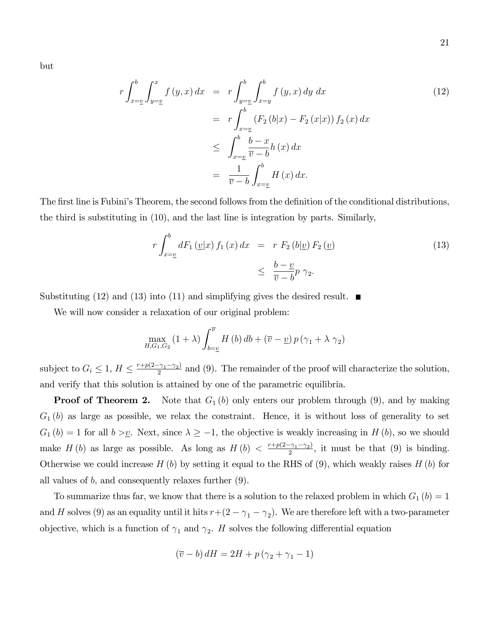but

$$
r \int_{x=\underline{v}}^{b} \int_{y=\underline{v}}^{x} f(y, x) dx = r \int_{y=\underline{v}}^{b} \int_{x=y}^{b} f(y, x) dy dx
$$
  
\n
$$
= r \int_{x=\underline{v}}^{b} (F_2 (b|x) - F_2 (x|x)) f_2 (x) dx
$$
  
\n
$$
\leq \int_{x=\underline{v}}^{b} \frac{b-x}{\overline{v} - b} h(x) dx
$$
  
\n
$$
= \frac{1}{\overline{v} - b} \int_{x=\underline{v}}^{b} H(x) dx.
$$
\n(12)

The first line is Fubini's Theorem, the second follows from the definition of the conditional distributions, the third is substituting in (10), and the last line is integration by parts. Similarly,

$$
r \int_{x=\underline{v}}^{b} dF_1(\underline{v}|x) f_1(x) dx = r F_2(b|\underline{v}) F_2(\underline{v})
$$
\n
$$
\leq \frac{b-\underline{v}}{\overline{v}-b} p \gamma_2.
$$
\n(13)

Substituting (12) and (13) into (11) and simplifying gives the desired result.  $\blacksquare$ 

We will now consider a relaxation of our original problem:

$$
\max_{H,G_1,G_2} (1+\lambda) \int_{b=\underline{v}}^{\overline{v}} H(b) db + (\overline{v} - \underline{v}) p (\gamma_1 + \lambda \gamma_2)
$$

subject to  $G_i \leq 1$ ,  $H \leq \frac{r+p(2-\gamma_1-\gamma_2)}{2}$  $\frac{2\gamma_1 - \gamma_2}{2}$  and (9). The remainder of the proof will characterize the solution, and verify that this solution is attained by one of the parametric equilibria.

**Proof of Theorem 2.** Note that  $G_1(b)$  only enters our problem through  $(9)$ , and by making  $G_1(b)$  as large as possible, we relax the constraint. Hence, it is without loss of generality to set  $G_1 (b) = 1$  for all  $b > \underline{v}$ . Next, since  $\lambda \ge -1$ , the objective is weakly increasing in H (b), so we should make  $H(b)$  as large as possible. As long as  $H(b) < \frac{r+p(2-\gamma_1-\gamma_2)}{2}$  $\frac{(\gamma_1 - \gamma_2)}{2}$ , it must be that (9) is binding. Otherwise we could increase  $H(b)$  by setting it equal to the RHS of (9), which weakly raises  $H(b)$  for all values of  $b$ , and consequently relaxes further  $(9)$ .

To summarize thus far, we know that there is a solution to the relaxed problem in which  $G_1(b) = 1$ and H solves (9) as an equality until it hits  $r+(2-\gamma_1-\gamma_2)$ . We are therefore left with a two-parameter objective, which is a function of  $\gamma_1$  and  $\gamma_2$ . H solves the following differential equation

$$
(\overline{v} - b) dH = 2H + p(\gamma_2 + \gamma_1 - 1)
$$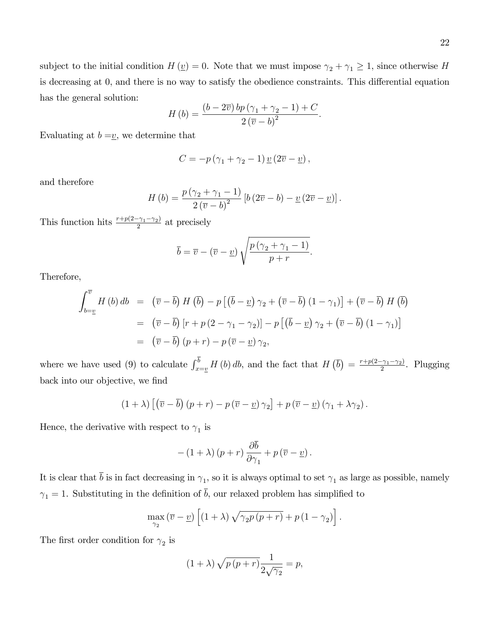subject to the initial condition  $H(\underline{v}) = 0$ . Note that we must impose  $\gamma_2 + \gamma_1 \geq 1$ , since otherwise H is decreasing at 0, and there is no way to satisfy the obedience constraints. This differential equation has the general solution:

$$
H\left(b\right) = \frac{\left(b - 2\overline{v}\right)bp\left(\gamma_1 + \gamma_2 - 1\right) + C}{2\left(\overline{v} - b\right)^2}.
$$

Evaluating at  $b = v$ , we determine that

$$
C = -p(\gamma_1 + \gamma_2 - 1) \underline{v} (2\overline{v} - \underline{v}),
$$

and therefore

$$
H\left(b\right) = \frac{p\left(\gamma_2 + \gamma_1 - 1\right)}{2\left(\overline{v} - b\right)^2} \left[b\left(2\overline{v} - b\right) - \underline{v}\left(2\overline{v} - \underline{v}\right)\right].
$$

This function hits  $\frac{r+p(2-\gamma_1-\gamma_2)}{2}$  $\frac{2^{-(\gamma_1 - \gamma_2)}}{2}$  at precisely

$$
\overline{b} = \overline{v} - (\overline{v} - \underline{v}) \sqrt{\frac{p(\gamma_2 + \gamma_1 - 1)}{p + r}}.
$$

Therefore,

$$
\int_{b=\underline{v}}^{\overline{v}} H(b) db = (\overline{v} - \overline{b}) H(\overline{b}) - p [(\overline{b} - \underline{v}) \gamma_2 + (\overline{v} - \overline{b}) (1 - \gamma_1)] + (\overline{v} - \overline{b}) H(\overline{b})
$$
  

$$
= (\overline{v} - \overline{b}) [r + p (2 - \gamma_1 - \gamma_2)] - p [(\overline{b} - \underline{v}) \gamma_2 + (\overline{v} - \overline{b}) (1 - \gamma_1)]
$$
  

$$
= (\overline{v} - \overline{b}) (p + r) - p (\overline{v} - \underline{v}) \gamma_2,
$$

where we have used (9) to calculate  $\int_{x=y}^{b} H(b) db$ , and the fact that  $H(\bar{b}) = \frac{r+p(2-\gamma_1-\gamma_2)}{2}$  $\frac{(-\gamma_1 - \gamma_2)}{2}$ . Plugging back into our objective, we find

$$
(1 + \lambda) \left[ \left( \overline{v} - \overline{b} \right) (p + r) - p \left( \overline{v} - \underline{v} \right) \gamma_2 \right] + p \left( \overline{v} - \underline{v} \right) (\gamma_1 + \lambda \gamma_2).
$$

Hence, the derivative with respect to  $\gamma_1$  is

$$
-(1+\lambda)\left(p+r\right)\frac{\partial b}{\partial \gamma_1}+p\left(\overline{v}-\underline{v}\right).
$$

It is clear that b is in fact decreasing in  $\gamma_1$ , so it is always optimal to set  $\gamma_1$  as large as possible, namely  $\gamma_1 = 1$ . Substituting in the definition of  $\bar{b}$ , our relaxed problem has simplified to

$$
\max_{\gamma_2} (\overline{v} - \underline{v}) \left[ (1 + \lambda) \sqrt{\gamma_2 p (p+r)} + p (1 - \gamma_2) \right].
$$

The first order condition for  $\gamma_2$  is

$$
(1+\lambda)\sqrt{p\,(p+r)}\frac{1}{2\sqrt{\gamma_2}}=p,
$$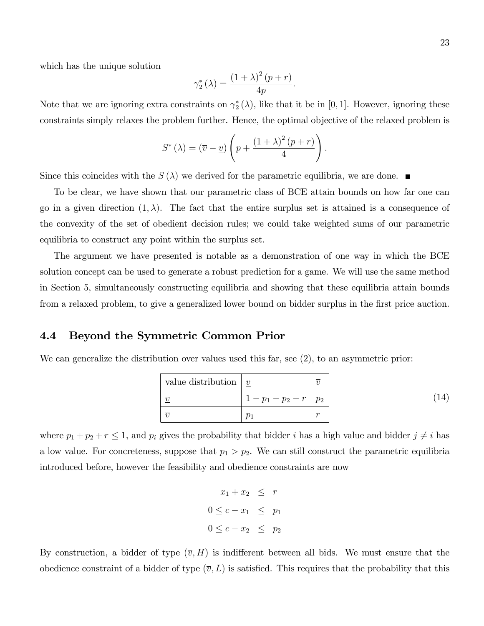which has the unique solution

$$
\gamma_2^*(\lambda) = \frac{\left(1+\lambda\right)^2 (p+r)}{4p}
$$

:

Note that we are ignoring extra constraints on  $\gamma_2^*(\lambda)$ , like that it be in [0, 1]. However, ignoring these constraints simply relaxes the problem further. Hence, the optimal objective of the relaxed problem is

$$
S^{\ast} (\lambda) = (\overline{v} - \underline{v}) \left( p + \frac{(1 + \lambda)^2 (p + r)}{4} \right).
$$

Since this coincides with the  $S(\lambda)$  we derived for the parametric equilibria, we are done.

To be clear, we have shown that our parametric class of BCE attain bounds on how far one can go in a given direction  $(1, \lambda)$ . The fact that the entire surplus set is attained is a consequence of the convexity of the set of obedient decision rules; we could take weighted sums of our parametric equilibria to construct any point within the surplus set.

The argument we have presented is notable as a demonstration of one way in which the BCE solution concept can be used to generate a robust prediction for a game. We will use the same method in Section 5, simultaneously constructing equilibria and showing that these equilibria attain bounds from a relaxed problem, to give a generalized lower bound on bidder surplus in the first price auction.

## 4.4 Beyond the Symmetric Common Prior

We can generalize the distribution over values used this far, see (2), to an asymmetric prior:

| value distribution $ v $ |                   |        |  |
|--------------------------|-------------------|--------|--|
|                          | $1-p_1-p_2-r p_2$ |        |  |
|                          |                   | $\sim$ |  |

where  $p_1 + p_2 + r \leq 1$ , and  $p_i$  gives the probability that bidder i has a high value and bidder  $j \neq i$  has a low value. For concreteness, suppose that  $p_1 > p_2$ . We can still construct the parametric equilibria introduced before, however the feasibility and obedience constraints are now

$$
x_1 + x_2 \leq r
$$
  

$$
0 \leq c - x_1 \leq p_1
$$
  

$$
0 \leq c - x_2 \leq p_2
$$

By construction, a bidder of type  $(\overline{v}, H)$  is indifferent between all bids. We must ensure that the obedience constraint of a bidder of type  $(\overline{v}, L)$  is satisfied. This requires that the probability that this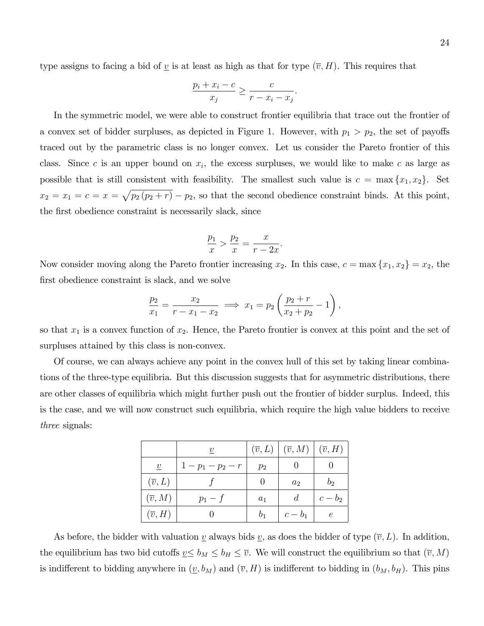type assigns to facing a bid of  $\underline{v}$  is at least as high as that for type  $(\overline{v}, H)$ . This requires that

$$
\frac{p_i + x_i - c}{x_j} \ge \frac{c}{r - x_i - x_j}.
$$

In the symmetric model, we were able to construct frontier equilibria that trace out the frontier of a convex set of bidder surpluses, as depicted in Figure 1. However, with  $p_1 > p_2$ , the set of payoffs traced out by the parametric class is no longer convex. Let us consider the Pareto frontier of this class. Since c is an upper bound on  $x_i$ , the excess surpluses, we would like to make c as large as possible that is still consistent with feasibility. The smallest such value is  $c = \max\{x_1, x_2\}$ . Set  $x_2 = x_1 = c = x = \sqrt{p_2 (p_2 + r)} - p_2$ , so that the second obedience constraint binds. At this point, the first obedience constraint is necessarily slack, since

$$
\frac{p_1}{x} > \frac{p_2}{x} = \frac{x}{r - 2x}
$$

:

Now consider moving along the Pareto frontier increasing  $x_2$ . In this case,  $c = \max\{x_1, x_2\} = x_2$ , the first obedience constraint is slack, and we solve

$$
\frac{p_2}{x_1} = \frac{x_2}{r - x_1 - x_2} \implies x_1 = p_2 \left( \frac{p_2 + r}{x_2 + p_2} - 1 \right),
$$

so that  $x_1$  is a convex function of  $x_2$ . Hence, the Pareto frontier is convex at this point and the set of surpluses attained by this class is non-convex.

Of course, we can always achieve any point in the convex hull of this set by taking linear combinations of the three-type equilibria. But this discussion suggests that for asymmetric distributions, there are other classes of equilibria which might further push out the frontier of bidder surplus. Indeed, this is the case, and we will now construct such equilibria, which require the high value bidders to receive three signals:

|                     | $\boldsymbol{v}$ | $(\overline{v}, L)$ | $(\overline{v}, M)$ | $(\overline{v},H)$ |
|---------------------|------------------|---------------------|---------------------|--------------------|
| $\boldsymbol{v}$    | $1-p_1-p_2-r$    | $p_2$               |                     |                    |
| $(\overline{v}, L)$ |                  |                     | $a_2$               | $b_2$              |
| $(\overline{v}, M)$ | $p_1-f$          | $a_1$               | d                   | $c-b_2$            |
| $(\overline{v},H)$  |                  | b <sub>1</sub>      | $c-b_1$             | $\epsilon$         |

As before, the bidder with valuation v always bids v, as does the bidder of type  $(\overline{v}, L)$ . In addition, the equilibrium has two bid cutoffs  $\underline{v} \leq b_M \leq b_H \leq \overline{v}$ . We will construct the equilibrium so that  $(\overline{v}, M)$ is indifferent to bidding anywhere in  $(\underline{v}, b_M)$  and  $(\overline{v}, H)$  is indifferent to bidding in  $(b_M, b_H)$ . This pins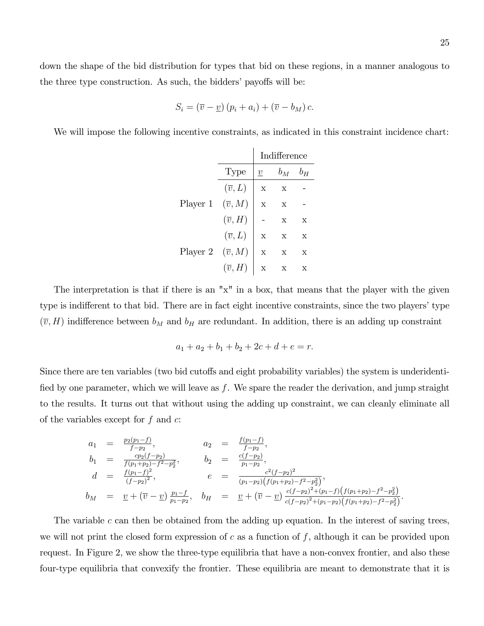down the shape of the bid distribution for types that bid on these regions, in a manner analogous to the three type construction. As such, the bidders' payoffs will be:

$$
S_i = (\overline{v} - \underline{v}) (p_i + a_i) + (\overline{v} - b_M) c.
$$

We will impose the following incentive constraints, as indicated in this constraint incidence chart:

|          |                     | Indifference    |             |             |
|----------|---------------------|-----------------|-------------|-------------|
|          | Type                | $\underline{v}$ | $b_M$       | $b_H$       |
|          | $(\overline{v}, L)$ | $\mathbf x$     | X           |             |
| Player 1 | $(\overline{v},M)$  | $\mathbf x$     | $\mathbf x$ |             |
|          | $(\overline{v},H)$  |                 | $\mathbf x$ | $\mathbf x$ |
|          | $(\overline{v}, L)$ | $\overline{X}$  | $\mathbf x$ | $\mathbf x$ |
| Player 2 | $(\overline{v},M)$  | $\overline{X}$  | $\mathbf x$ | $\mathbf x$ |
|          | $(\overline{v},H)$  | X               |             | X           |

The interpretation is that if there is an "x" in a box, that means that the player with the given type is indifferent to that bid. There are in fact eight incentive constraints, since the two players' type  $(\overline{v}, H)$  indifference between  $b_M$  and  $b_H$  are redundant. In addition, there is an adding up constraint

$$
a_1 + a_2 + b_1 + b_2 + 2c + d + e = r.
$$

Since there are ten variables (two bid cutoffs and eight probability variables) the system is underidentified by one parameter, which we will leave as  $f$ . We spare the reader the derivation, and jump straight to the results. It turns out that without using the adding up constraint, we can cleanly eliminate all of the variables except for  $f$  and  $c$ :

$$
a_1 = \frac{p_2(p_1-f)}{f-p_2}, \qquad a_2 = \frac{f(p_1-f)}{f-p_2},
$$
  
\n
$$
b_1 = \frac{cp_2(f-p_2)}{f(p_1+p_2)-f^2-p_2^2}, \qquad b_2 = \frac{c(f-p_2)}{p_1-p_2},
$$
  
\n
$$
d = \frac{f(p_1-f)^2}{(f-p_2)^2}, \qquad e = \frac{c^2(f-p_2)^2}{(p_1-p_2)(f(p_1+p_2)-f^2-p_2^2)},
$$
  
\n
$$
b_M = \underline{v} + (\overline{v} - \underline{v}) \frac{p_1-f}{p_1-p_2}, \qquad b_H = \underline{v} + (\overline{v} - \underline{v}) \frac{c(f-p_2)^2 + (p_1-f)(f(p_1+p_2)-f^2-p_2^2)}{c(f-p_2)^2 + (p_1-p_2)(f(p_1+p_2)-f^2-p_2^2)}
$$

The variable c can then be obtained from the adding up equation. In the interest of saving trees, we will not print the closed form expression of  $c$  as a function of  $f$ , although it can be provided upon request. In Figure 2, we show the three-type equilibria that have a non-convex frontier, and also these four-type equilibria that convexify the frontier. These equilibria are meant to demonstrate that it is

: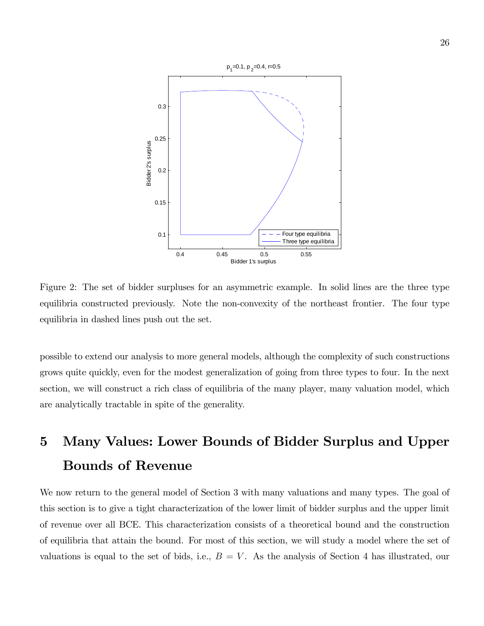

Figure 2: The set of bidder surpluses for an asymmetric example. In solid lines are the three type equilibria constructed previously. Note the non-convexity of the northeast frontier. The four type equilibria in dashed lines push out the set.

possible to extend our analysis to more general models, although the complexity of such constructions grows quite quickly, even for the modest generalization of going from three types to four. In the next section, we will construct a rich class of equilibria of the many player, many valuation model, which are analytically tractable in spite of the generality.

# 5 Many Values: Lower Bounds of Bidder Surplus and Upper Bounds of Revenue

We now return to the general model of Section 3 with many valuations and many types. The goal of this section is to give a tight characterization of the lower limit of bidder surplus and the upper limit of revenue over all BCE. This characterization consists of a theoretical bound and the construction of equilibria that attain the bound. For most of this section, we will study a model where the set of valuations is equal to the set of bids, i.e.,  $B = V$ . As the analysis of Section 4 has illustrated, our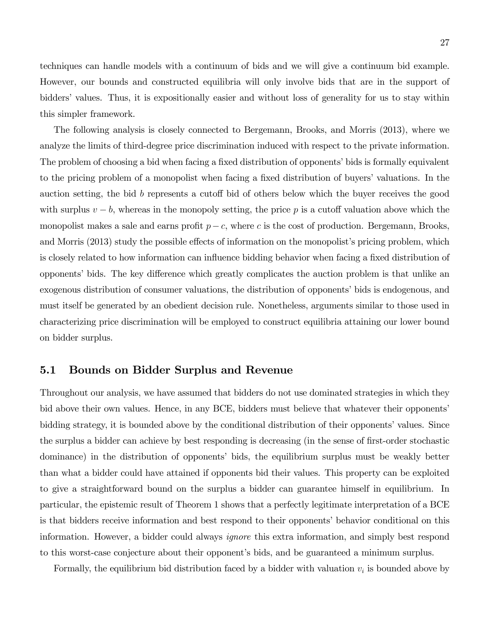techniques can handle models with a continuum of bids and we will give a continuum bid example. However, our bounds and constructed equilibria will only involve bids that are in the support of bidders' values. Thus, it is expositionally easier and without loss of generality for us to stay within this simpler framework.

The following analysis is closely connected to Bergemann, Brooks, and Morris (2013), where we analyze the limits of third-degree price discrimination induced with respect to the private information. The problem of choosing a bid when facing a fixed distribution of opponents' bids is formally equivalent to the pricing problem of a monopolist when facing a fixed distribution of buyers' valuations. In the auction setting, the bid b represents a cutoff bid of others below which the buyer receives the good with surplus  $v - b$ , whereas in the monopoly setting, the price p is a cutoff valuation above which the monopolist makes a sale and earns profit  $p - c$ , where c is the cost of production. Bergemann, Brooks, and Morris (2013) study the possible effects of information on the monopolist's pricing problem, which is closely related to how information can influence bidding behavior when facing a fixed distribution of opponents' bids. The key difference which greatly complicates the auction problem is that unlike an exogenous distribution of consumer valuations, the distribution of opponents' bids is endogenous, and must itself be generated by an obedient decision rule. Nonetheless, arguments similar to those used in characterizing price discrimination will be employed to construct equilibria attaining our lower bound on bidder surplus.

## 5.1 Bounds on Bidder Surplus and Revenue

Throughout our analysis, we have assumed that bidders do not use dominated strategies in which they bid above their own values. Hence, in any BCE, bidders must believe that whatever their opponents' bidding strategy, it is bounded above by the conditional distribution of their opponents' values. Since the surplus a bidder can achieve by best responding is decreasing (in the sense of first-order stochastic dominance) in the distribution of opponentsí bids, the equilibrium surplus must be weakly better than what a bidder could have attained if opponents bid their values. This property can be exploited to give a straightforward bound on the surplus a bidder can guarantee himself in equilibrium. In particular, the epistemic result of Theorem 1 shows that a perfectly legitimate interpretation of a BCE is that bidders receive information and best respond to their opponents' behavior conditional on this information. However, a bidder could always ignore this extra information, and simply best respond to this worst-case conjecture about their opponent's bids, and be guaranteed a minimum surplus.

Formally, the equilibrium bid distribution faced by a bidder with valuation  $v_i$  is bounded above by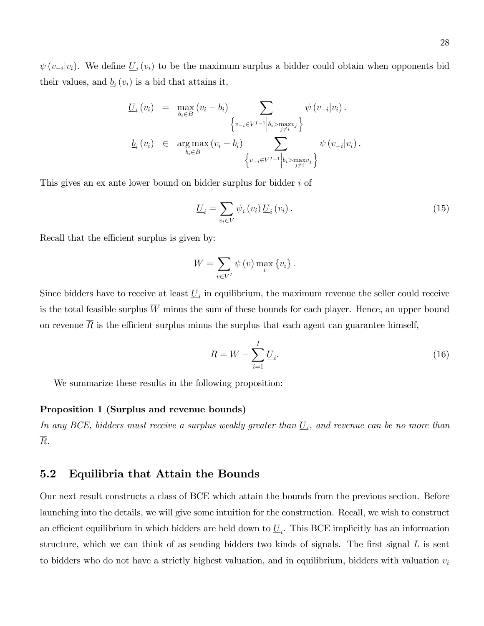$\psi(v_{-i}|v_i)$ . We define  $\underline{U}_i(v_i)$  to be the maximum surplus a bidder could obtain when opponents bid their values, and  $\underline{b}_i(v_i)$  is a bid that attains it,

$$
\underline{U}_{i}(v_{i}) = \max_{b_{i} \in B} (v_{i} - b_{i}) \sum_{\begin{cases} v_{-i} \in V^{I-1} \big| b_{i} > \max_{j \neq i} v_{j} \end{cases}} \psi(v_{-i}|v_{i}).
$$
\n
$$
\underline{b}_{i}(v_{i}) \in \arg \max_{b_{i} \in B} (v_{i} - b_{i}) \sum_{\begin{cases} v_{-i} \in V^{I-1} \big| b_{i} > \max_{j \neq i} v_{j} \end{cases}} \psi(v_{-i}|v_{i}).
$$

This gives an ex ante lower bound on bidder surplus for bidder i of

$$
\underline{U}_{i} = \sum_{v_{i} \in V} \psi_{i} \left( v_{i} \right) \underline{U}_{i} \left( v_{i} \right). \tag{15}
$$

Recall that the efficient surplus is given by:

$$
\overline{W} = \sum_{v \in V^I} \psi(v) \max_i \{v_i\}.
$$

Since bidders have to receive at least  $\underline{U}_i$  in equilibrium, the maximum revenue the seller could receive is the total feasible surplus  $\overline{W}$  minus the sum of these bounds for each player. Hence, an upper bound on revenue  $\overline{R}$  is the efficient surplus minus the surplus that each agent can guarantee himself,

$$
\overline{R} = \overline{W} - \sum_{i=1}^{I} \underline{U}_i.
$$
\n(16)

We summarize these results in the following proposition:

#### Proposition 1 (Surplus and revenue bounds)

In any BCE, bidders must receive a surplus weakly greater than  $\underline{U}_i$ , and revenue can be no more than  $\overline{R}$ .

## 5.2 Equilibria that Attain the Bounds

Our next result constructs a class of BCE which attain the bounds from the previous section. Before launching into the details, we will give some intuition for the construction. Recall, we wish to construct an efficient equilibrium in which bidders are held down to  $\underline{U}_i$ . This BCE implicitly has an information structure, which we can think of as sending bidders two kinds of signals. The first signal  $L$  is sent to bidders who do not have a strictly highest valuation, and in equilibrium, bidders with valuation  $v_i$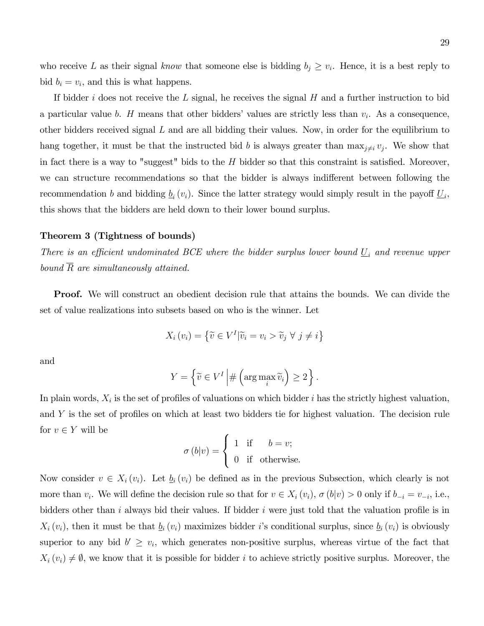who receive L as their signal know that someone else is bidding  $b_j \geq v_i$ . Hence, it is a best reply to bid  $b_i = v_i$ , and this is what happens.

If bidder i does not receive the L signal, he receives the signal  $H$  and a further instruction to bid a particular value b. H means that other bidders' values are strictly less than  $v_i$ . As a consequence, other bidders received signal  $L$  and are all bidding their values. Now, in order for the equilibrium to hang together, it must be that the instructed bid b is always greater than  $\max_{j\neq i} v_j$ . We show that in fact there is a way to "suggest" bids to the  $H$  bidder so that this constraint is satisfied. Moreover, we can structure recommendations so that the bidder is always indifferent between following the recommendation b and bidding  $\underline{b}_i(v_i)$ . Since the latter strategy would simply result in the payoff  $\underline{U}_i$ , this shows that the bidders are held down to their lower bound surplus.

#### Theorem 3 (Tightness of bounds)

There is an efficient undominated BCE where the bidder surplus lower bound  $\underline{U}_i$  and revenue upper bound  $\overline{R}$  are simultaneously attained.

**Proof.** We will construct an obedient decision rule that attains the bounds. We can divide the set of value realizations into subsets based on who is the winner. Let

$$
X_i(v_i) = \left\{ \widetilde{v} \in V^I | \widetilde{v}_i = v_i > \widetilde{v}_j \ \forall \ j \neq i \right\}
$$

and

$$
Y = \left\{ \widetilde{v} \in V^I \middle| \# \left( \arg \max_i \widetilde{v}_i \right) \ge 2 \right\}.
$$

In plain words,  $X_i$  is the set of profiles of valuations on which bidder i has the strictly highest valuation, and  $Y$  is the set of profiles on which at least two bidders tie for highest valuation. The decision rule for  $v \in Y$  will be

$$
\sigma (b|v) = \begin{cases} 1 & \text{if } b = v; \\ 0 & \text{if otherwise.} \end{cases}
$$

Now consider  $v \in X_i(v_i)$ . Let  $\underline{b}_i(v_i)$  be defined as in the previous Subsection, which clearly is not more than  $v_i$ . We will define the decision rule so that for  $v \in X_i(v_i)$ ,  $\sigma(b|v) > 0$  only if  $b_{-i} = v_{-i}$ , i.e., bidders other than i always bid their values. If bidder i were just told that the valuation profile is in  $X_i(v_i)$ , then it must be that  $\underline{b}_i(v_i)$  maximizes bidder i's conditional surplus, since  $\underline{b}_i(v_i)$  is obviously superior to any bid  $b' \geq v_i$ , which generates non-positive surplus, whereas virtue of the fact that  $X_i(v_i) \neq \emptyset$ , we know that it is possible for bidder i to achieve strictly positive surplus. Moreover, the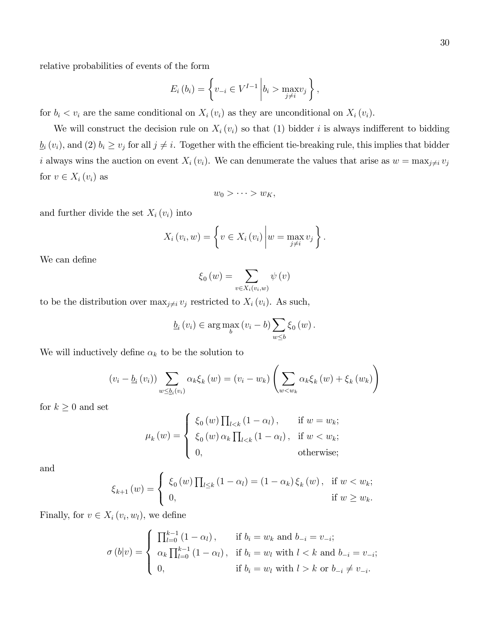relative probabilities of events of the form

$$
E_i(b_i) = \left\{ v_{-i} \in V^{I-1} \middle| b_i > \max_{j \neq i} v_j \right\},\
$$

for  $b_i < v_i$  are the same conditional on  $X_i(v_i)$  as they are unconditional on  $X_i(v_i)$ .

We will construct the decision rule on  $X_i(v_i)$  so that (1) bidder i is always indifferent to bidding  $\underline{b}_i(v_i)$ , and (2)  $b_i \ge v_j$  for all  $j \ne i$ . Together with the efficient tie-breaking rule, this implies that bidder i always wins the auction on event  $X_i(v_i)$ . We can denumerate the values that arise as  $w = \max_{j \neq i} v_j$ for  $v \in X_i(v_i)$  as

$$
w_0 > \cdots > w_K,
$$

and further divide the set  $X_i(v_i)$  into

$$
X_i(v_i, w) = \left\{ v \in X_i(v_i) \middle| w = \max_{j \neq i} v_j \right\}.
$$

We can define

$$
\xi_{0}\left(w\right)=\sum_{v\in X_{i}\left(v_{i},w\right)}\psi\left(v\right)
$$

to be the distribution over  $\max_{j\neq i} v_j$  restricted to  $X_i(v_i)$ . As such,

$$
\underline{b}_{i}(v_{i}) \in \arg \max_{b}(v_{i} - b) \sum_{w \leq b} \xi_{0}(w).
$$

We will inductively define  $\alpha_k$  to be the solution to

$$
\left(v_i - \underline{b}_i\left(v_i\right)\right) \sum_{w \leq \underline{b}_i\left(v_i\right)} \alpha_k \xi_k\left(w\right) = \left(v_i - w_k\right) \left(\sum_{w < w_k} \alpha_k \xi_k\left(w\right) + \xi_k\left(w_k\right)\right)
$$

for  $k \geq 0$  and set

$$
\mu_{k}(w) = \begin{cases} \xi_{0}(w) \prod_{l < k} (1 - \alpha_{l}), & \text{if } w = w_{k}; \\ \xi_{0}(w) \alpha_{k} \prod_{l < k} (1 - \alpha_{l}), & \text{if } w < w_{k}; \\ 0, & \text{otherwise}; \end{cases}
$$

and

$$
\xi_{k+1}(w) = \begin{cases} \xi_0(w) \prod_{l \leq k} (1 - \alpha_l) = (1 - \alpha_k) \xi_k(w), & \text{if } w < w_k; \\ 0, & \text{if } w \geq w_k. \end{cases}
$$

Finally, for  $v \in X_i(v_i, w_l)$ , we define

$$
\sigma(b|v) = \begin{cases} \n\prod_{l=0}^{k-1} (1 - \alpha_l), & \text{if } b_i = w_k \text{ and } b_{-i} = v_{-i}; \\
\alpha_k \prod_{l=0}^{k-1} (1 - \alpha_l), & \text{if } b_i = w_l \text{ with } l < k \text{ and } b_{-i} = v_{-i}; \\
0, & \text{if } b_i = w_l \text{ with } l > k \text{ or } b_{-i} \neq v_{-i}.\n\end{cases}
$$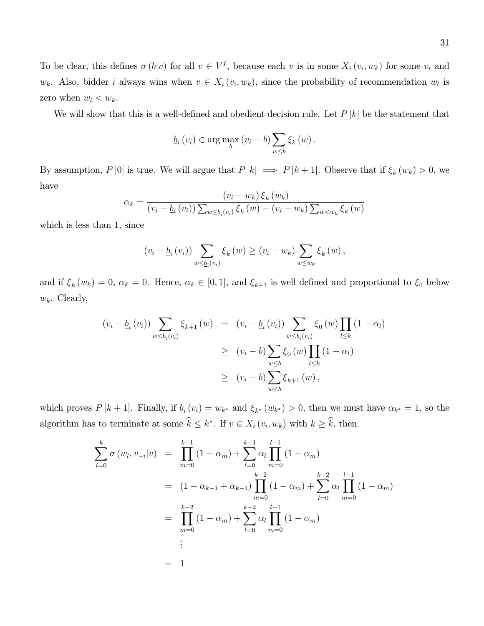To be clear, this defines  $\sigma(b|v)$  for all  $v \in V^I$ , because each v is in some  $X_i(v_i, w_k)$  for some  $v_i$  and  $w_k$ . Also, bidder *i* always wins when  $v \in X_i(v_i, w_k)$ , since the probability of recommendation  $w_l$  is zero when  $w_l < w_k$ .

We will show that this is a well-defined and obedient decision rule. Let  $P[k]$  be the statement that

$$
\underline{b}_{i}(v_{i}) \in \arg \max_{b}(v_{i} - b) \sum_{w \leq b} \xi_{k}(w).
$$

By assumption,  $P[0]$  is true. We will argue that  $P[k] \implies P[k+1]$ . Observe that if  $\xi_k(w_k) > 0$ , we have

$$
\alpha_k = \frac{(v_i - w_k) \xi_k(w_k)}{(v_i - \underline{b}_i(v_i)) \sum_{w \leq \underline{b}_i(v_i)} \xi_k(w) - (v_i - w_k) \sum_{w < w_k} \xi_k(w)}
$$

which is less than 1, since

$$
(v_i - \underline{b}_i(v_i)) \sum_{w \leq \underline{b}_i(v_i)} \xi_k(w) \geq (v_i - w_k) \sum_{w \leq w_k} \xi_k(w),
$$

and if  $\xi_k(w_k) = 0$ ,  $\alpha_k = 0$ . Hence,  $\alpha_k \in [0, 1]$ , and  $\xi_{k+1}$  is well defined and proportional to  $\xi_0$  below  $w_k$ . Clearly,

$$
(v_i - \underline{b}_i(v_i)) \sum_{w \leq \underline{b}_i(v_i)} \xi_{k+1}(w) = (v_i - \underline{b}_i(v_i)) \sum_{w \leq \underline{b}_i(v_i)} \xi_0(w) \prod_{l \leq k} (1 - \alpha_l)
$$
  
 
$$
\geq (v_i - b) \sum_{w \leq b} \xi_0(w) \prod_{l \leq k} (1 - \alpha_l)
$$
  
 
$$
\geq (v_i - b) \sum_{w \leq b} \xi_{k+1}(w),
$$

which proves  $P[k+1]$ . Finally, if  $\underline{b}_i(v_i) = w_{k^*}$  and  $\xi_{k^*}(w_{k^*}) > 0$ , then we must have  $\alpha_{k^*} = 1$ , so the algorithm has to terminate at some  $k \leq k^*$ . If  $v \in X_i(v_i, w_k)$  with  $k \geq k$ , then

$$
\sum_{l=0}^{k} \sigma(w_l, v_{-i}|v) = \prod_{m=0}^{k-1} (1 - \alpha_m) + \sum_{l=0}^{k-1} \alpha_l \prod_{m=0}^{l-1} (1 - \alpha_m)
$$
  

$$
= (1 - \alpha_{k-1} + \alpha_{k-1}) \prod_{m=0}^{k-2} (1 - \alpha_m) + \sum_{l=0}^{k-2} \alpha_l \prod_{m=0}^{l-1} (1 - \alpha_m)
$$
  

$$
= \prod_{m=0}^{k-2} (1 - \alpha_m) + \sum_{l=0}^{k-2} \alpha_l \prod_{m=0}^{l-1} (1 - \alpha_m)
$$
  

$$
\vdots
$$
  

$$
= 1
$$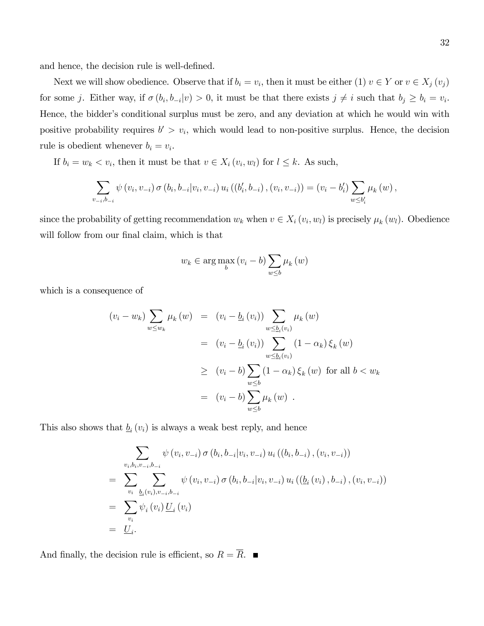and hence, the decision rule is well-defined.

Next we will show obedience. Observe that if  $b_i = v_i$ , then it must be either (1)  $v \in Y$  or  $v \in X_j(v_j)$ for some j. Either way, if  $\sigma(b_i, b_{-i}|v) > 0$ , it must be that there exists  $j \neq i$  such that  $b_j \geq b_i = v_i$ . Hence, the bidder's conditional surplus must be zero, and any deviation at which he would win with positive probability requires  $b' > v_i$ , which would lead to non-positive surplus. Hence, the decision rule is obedient whenever  $b_i = v_i$ .

If  $b_i = w_k < v_i$ , then it must be that  $v \in X_i(v_i, w_l)$  for  $l \leq k$ . As such,

$$
\sum_{v_{-i},b_{-i}} \psi(v_i,v_{-i}) \sigma(b_i,b_{-i}|v_i,v_{-i}) u_i((b'_i,b_{-i}), (v_i,v_{-i})) = (v_i-b'_i) \sum_{w \leq b'_i} \mu_k(w),
$$

since the probability of getting recommendation  $w_k$  when  $v \in X_i(v_i, w_l)$  is precisely  $\mu_k(w_l)$ . Obedience will follow from our final claim, which is that

$$
w_k \in \arg\max_b (v_i - b) \sum_{w \le b} \mu_k(w)
$$

which is a consequence of

$$
(v_i - w_k) \sum_{w \le w_k} \mu_k(w) = (v_i - \underline{b}_i(v_i)) \sum_{w \le \underline{b}_i(v_i)} \mu_k(w)
$$
  
=  $(v_i - \underline{b}_i(v_i)) \sum_{w \le \underline{b}_i(v_i)} (1 - \alpha_k) \xi_k(w)$   
 $\ge (v_i - b) \sum_{w \le b} (1 - \alpha_k) \xi_k(w)$  for all  $b < w_k$   
=  $(v_i - b) \sum_{w \le b} \mu_k(w)$ .

This also shows that  $\underline{b}_i(v_i)$  is always a weak best reply, and hence

$$
\sum_{v_i, b_i, v_{-i}, b_{-i}} \psi(v_i, v_{-i}) \sigma(b_i, b_{-i}|v_i, v_{-i}) u_i((b_i, b_{-i}), (v_i, v_{-i}))
$$
\n
$$
= \sum_{v_i} \sum_{\underline{b}_i(v_i), v_{-i}, b_{-i}} \psi(v_i, v_{-i}) \sigma(b_i, b_{-i}|v_i, v_{-i}) u_i((\underline{b}_i(v_i), b_{-i}), (v_i, v_{-i}))
$$
\n
$$
= \sum_{v_i} \psi_i(v_i) \underline{U}_i(v_i)
$$
\n
$$
= \underline{U}_i.
$$

And finally, the decision rule is efficient, so  $R = \overline{R}$ .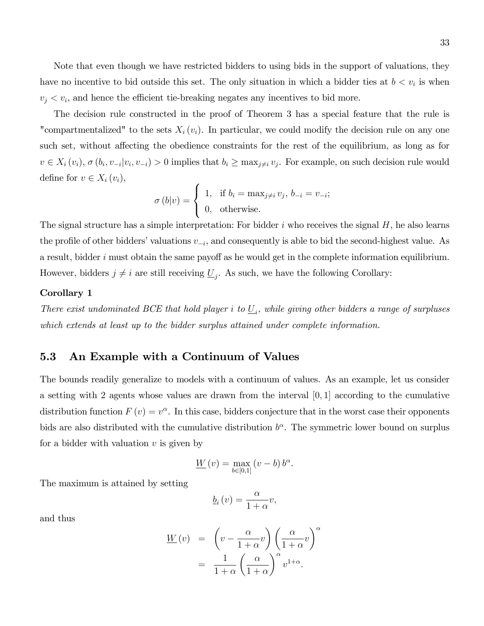Note that even though we have restricted bidders to using bids in the support of valuations, they have no incentive to bid outside this set. The only situation in which a bidder ties at  $b < v_i$  is when  $v_j < v_i$ , and hence the efficient tie-breaking negates any incentives to bid more.

The decision rule constructed in the proof of Theorem 3 has a special feature that the rule is "compartmentalized" to the sets  $X_i(v_i)$ . In particular, we could modify the decision rule on any one such set, without affecting the obedience constraints for the rest of the equilibrium, as long as for  $v \in X_i(v_i)$ ,  $\sigma(b_i, v_{-i}|v_i, v_{-i}) > 0$  implies that  $b_i \ge \max_{j \neq i} v_j$ . For example, on such decision rule would define for  $v \in X_i(v_i)$ ,

$$
\sigma(b|v) = \begin{cases} 1, & \text{if } b_i = \max_{j \neq i} v_j, b_{-i} = v_{-i}; \\ 0, & \text{otherwise.} \end{cases}
$$

The signal structure has a simple interpretation: For bidder  $i$  who receives the signal  $H$ , he also learns the profile of other bidders' valuations  $v_{-i}$ , and consequently is able to bid the second-highest value. As a result, bidder  $i$  must obtain the same payoff as he would get in the complete information equilibrium. However, bidders  $j \neq i$  are still receiving  $\underline{U}_j$ . As such, we have the following Corollary:

#### Corollary 1

There exist undominated BCE that hold player i to  $\underline{U}_i$ , while giving other bidders a range of surpluses which extends at least up to the bidder surplus attained under complete information.

## 5.3 An Example with a Continuum of Values

The bounds readily generalize to models with a continuum of values. As an example, let us consider a setting with 2 agents whose values are drawn from the interval  $[0, 1]$  according to the cumulative distribution function  $F(v) = v^{\alpha}$ . In this case, bidders conjecture that in the worst case their opponents bids are also distributed with the cumulative distribution  $b^{\alpha}$ . The symmetric lower bound on surplus for a bidder with valuation  $v$  is given by

$$
\underline{W}(v) = \max_{b \in [0,1]} (v - b) b^{\alpha}.
$$

The maximum is attained by setting

$$
\underline{b}_{i}(v) = \frac{\alpha}{1 + \alpha}v,
$$

and thus

$$
\underline{W}(v) = \left(v - \frac{\alpha}{1 + \alpha}v\right) \left(\frac{\alpha}{1 + \alpha}v\right)^{\alpha}
$$

$$
= \frac{1}{1 + \alpha} \left(\frac{\alpha}{1 + \alpha}\right)^{\alpha} v^{1 + \alpha}.
$$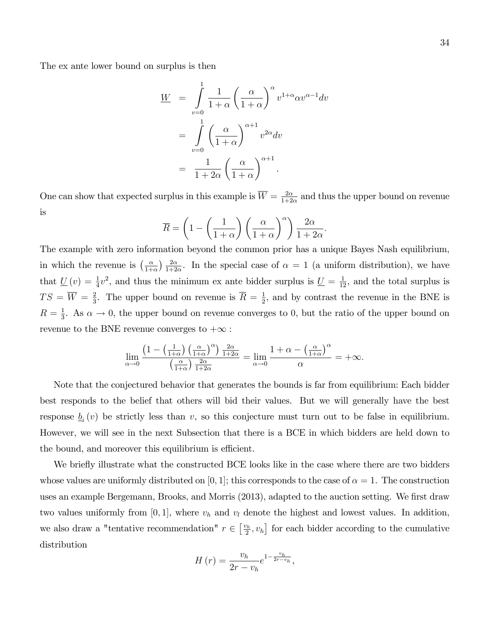$$
W = \int_{v=0}^{1} \frac{1}{1+\alpha} \left(\frac{\alpha}{1+\alpha}\right)^{\alpha} v^{1+\alpha} \alpha v^{\alpha-1} dv
$$
  
= 
$$
\int_{v=0}^{1} \left(\frac{\alpha}{1+\alpha}\right)^{\alpha+1} v^{2\alpha} dv
$$
  
= 
$$
\frac{1}{1+2\alpha} \left(\frac{\alpha}{1+\alpha}\right)^{\alpha+1}.
$$

One can show that expected surplus in this example is  $\overline{W} = \frac{2\alpha}{1+2\alpha}$  $\frac{2\alpha}{1+2\alpha}$  and thus the upper bound on revenue is

$$
\overline{R} = \left(1 - \left(\frac{1}{1+\alpha}\right)\left(\frac{\alpha}{1+\alpha}\right)^{\alpha}\right)\frac{2\alpha}{1+2\alpha}.
$$

The example with zero information beyond the common prior has a unique Bayes Nash equilibrium, in which the revenue is  $\left(\frac{\alpha}{1+r}\right)$  $\frac{\alpha}{1+\alpha}$ )  $\frac{2\alpha}{1+2}$  $\frac{2\alpha}{1+2\alpha}$ . In the special case of  $\alpha = 1$  (a uniform distribution), we have that  $\underline{U}(v) = \frac{1}{4}v^2$ , and thus the minimum ex ante bidder surplus is  $\underline{U} = \frac{1}{12}$ , and the total surplus is  $TS=\overline{W}=\frac{2}{3}$  $\frac{2}{3}$ . The upper bound on revenue is  $\overline{R} = \frac{1}{2}$  $\frac{1}{2}$ , and by contrast the revenue in the BNE is  $R=\frac{1}{3}$  $\frac{1}{3}$ . As  $\alpha \to 0$ , the upper bound on revenue converges to 0, but the ratio of the upper bound on revenue to the BNE revenue converges to  $+\infty$ :

$$
\lim_{\alpha \to 0} \frac{\left(1 - \left(\frac{1}{1+\alpha}\right) \left(\frac{\alpha}{1+\alpha}\right)^{\alpha}\right) \frac{2\alpha}{1+2\alpha}}{\left(\frac{\alpha}{1+\alpha}\right) \frac{2\alpha}{1+2\alpha}} = \lim_{\alpha \to 0} \frac{1 + \alpha - \left(\frac{\alpha}{1+\alpha}\right)^{\alpha}}{\alpha} = +\infty.
$$

Note that the conjectured behavior that generates the bounds is far from equilibrium: Each bidder best responds to the belief that others will bid their values. But we will generally have the best response  $\underline{b}_i(v)$  be strictly less than v, so this conjecture must turn out to be false in equilibrium. However, we will see in the next Subsection that there is a BCE in which bidders are held down to the bound, and moreover this equilibrium is efficient.

We briefly illustrate what the constructed BCE looks like in the case where there are two bidders whose values are uniformly distributed on [0, 1]; this corresponds to the case of  $\alpha = 1$ . The construction uses an example Bergemann, Brooks, and Morris (2013), adapted to the auction setting. We first draw two values uniformly from  $[0, 1]$ , where  $v_h$  and  $v_l$  denote the highest and lowest values. In addition, we also draw a "tentative recommendation"  $r \in \left[\frac{v_h}{2}\right]$  $[\frac{v_h}{2}, v_h]$  for each bidder according to the cumulative distribution

$$
H(r) = \frac{v_h}{2r - v_h} e^{1 - \frac{v_h}{2r - v_h}},
$$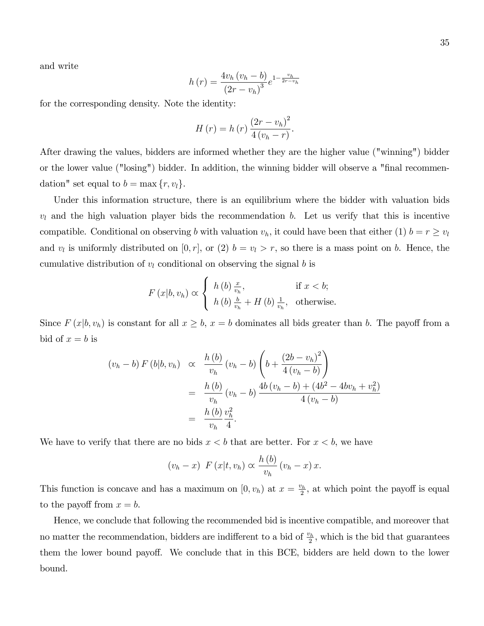and write

$$
h(r) = \frac{4v_h (v_h - b)}{(2r - v_h)^3} e^{1 - \frac{v_h}{2r - v_h}}
$$

for the corresponding density. Note the identity:

$$
H(r) = h(r) \frac{(2r - v_h)^2}{4(v_h - r)}.
$$

After drawing the values, bidders are informed whether they are the higher value ("winning") bidder or the lower value ("losing") bidder. In addition, the winning bidder will observe a "final recommendation" set equal to  $b = \max\{r, v_l\}.$ 

Under this information structure, there is an equilibrium where the bidder with valuation bids  $v_l$  and the high valuation player bids the recommendation b. Let us verify that this is incentive compatible. Conditional on observing b with valuation  $v_h$ , it could have been that either (1)  $b = r \ge v_l$ and  $v_l$  is uniformly distributed on [0, r], or (2)  $b = v_l > r$ , so there is a mass point on b. Hence, the cumulative distribution of  $v_l$  conditional on observing the signal b is

$$
F(x|b, v_h) \propto \begin{cases} h(b) \frac{x}{v_h}, & \text{if } x < b; \\ h(b) \frac{b}{v_h} + H(b) \frac{1}{v_h}, & \text{otherwise.} \end{cases}
$$

Since  $F(x|b, v_h)$  is constant for all  $x \ge b$ ,  $x = b$  dominates all bids greater than b. The payoff from a bid of  $x = b$  is

$$
(v_h - b) F (b|b, v_h) \propto \frac{h (b)}{v_h} (v_h - b) \left( b + \frac{(2b - v_h)^2}{4 (v_h - b)} \right)
$$
  
= 
$$
\frac{h (b)}{v_h} (v_h - b) \frac{4b (v_h - b) + (4b^2 - 4bv_h + v_h^2)}{4 (v_h - b)}
$$
  
= 
$$
\frac{h (b)}{v_h} \frac{v_h^2}{4}.
$$

We have to verify that there are no bids  $x < b$  that are better. For  $x < b$ , we have

$$
(v_h - x) F(x|t, v_h) \propto \frac{h(b)}{v_h} (v_h - x) x.
$$

This function is concave and has a maximum on  $[0, v_h)$  at  $x = \frac{v_h}{2}$  $\frac{\partial h}{\partial x}$ , at which point the payoff is equal to the payoff from  $x = b$ .

Hence, we conclude that following the recommended bid is incentive compatible, and moreover that no matter the recommendation, bidders are indifferent to a bid of  $\frac{v_h}{2}$ , which is the bid that guarantees them the lower bound payoff. We conclude that in this BCE, bidders are held down to the lower bound.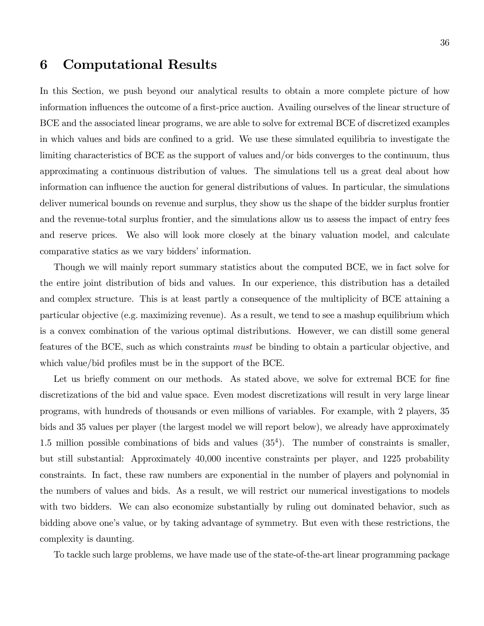# 6 Computational Results

In this Section, we push beyond our analytical results to obtain a more complete picture of how information influences the outcome of a first-price auction. Availing ourselves of the linear structure of BCE and the associated linear programs, we are able to solve for extremal BCE of discretized examples in which values and bids are confined to a grid. We use these simulated equilibria to investigate the limiting characteristics of BCE as the support of values and/or bids converges to the continuum, thus approximating a continuous distribution of values. The simulations tell us a great deal about how information can influence the auction for general distributions of values. In particular, the simulations deliver numerical bounds on revenue and surplus, they show us the shape of the bidder surplus frontier and the revenue-total surplus frontier, and the simulations allow us to assess the impact of entry fees and reserve prices. We also will look more closely at the binary valuation model, and calculate comparative statics as we vary bidders' information.

Though we will mainly report summary statistics about the computed BCE, we in fact solve for the entire joint distribution of bids and values. In our experience, this distribution has a detailed and complex structure. This is at least partly a consequence of the multiplicity of BCE attaining a particular objective (e.g. maximizing revenue). As a result, we tend to see a mashup equilibrium which is a convex combination of the various optimal distributions. However, we can distill some general features of the BCE, such as which constraints must be binding to obtain a particular objective, and which value/bid profiles must be in the support of the BCE.

Let us briefly comment on our methods. As stated above, we solve for extremal BCE for fine discretizations of the bid and value space. Even modest discretizations will result in very large linear programs, with hundreds of thousands or even millions of variables. For example, with 2 players, 35 bids and 35 values per player (the largest model we will report below), we already have approximately 1.5 million possible combinations of bids and values (35<sup>4</sup> ). The number of constraints is smaller, but still substantial: Approximately 40,000 incentive constraints per player, and 1225 probability constraints. In fact, these raw numbers are exponential in the number of players and polynomial in the numbers of values and bids. As a result, we will restrict our numerical investigations to models with two bidders. We can also economize substantially by ruling out dominated behavior, such as bidding above one's value, or by taking advantage of symmetry. But even with these restrictions, the complexity is daunting.

To tackle such large problems, we have made use of the state-of-the-art linear programming package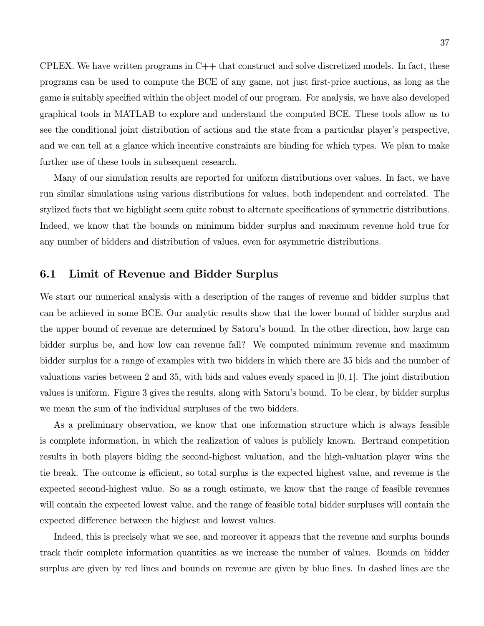CPLEX. We have written programs in  $C++$  that construct and solve discretized models. In fact, these programs can be used to compute the BCE of any game, not just first-price auctions, as long as the game is suitably specified within the object model of our program. For analysis, we have also developed graphical tools in MATLAB to explore and understand the computed BCE. These tools allow us to see the conditional joint distribution of actions and the state from a particular player's perspective, and we can tell at a glance which incentive constraints are binding for which types. We plan to make further use of these tools in subsequent research.

Many of our simulation results are reported for uniform distributions over values. In fact, we have run similar simulations using various distributions for values, both independent and correlated. The stylized facts that we highlight seem quite robust to alternate specifications of symmetric distributions. Indeed, we know that the bounds on minimum bidder surplus and maximum revenue hold true for any number of bidders and distribution of values, even for asymmetric distributions.

## 6.1 Limit of Revenue and Bidder Surplus

We start our numerical analysis with a description of the ranges of revenue and bidder surplus that can be achieved in some BCE. Our analytic results show that the lower bound of bidder surplus and the upper bound of revenue are determined by Satoruís bound. In the other direction, how large can bidder surplus be, and how low can revenue fall? We computed minimum revenue and maximum bidder surplus for a range of examples with two bidders in which there are 35 bids and the number of valuations varies between 2 and 35, with bids and values evenly spaced in  $[0, 1]$ . The joint distribution values is uniform. Figure 3 gives the results, along with Satoruís bound. To be clear, by bidder surplus we mean the sum of the individual surpluses of the two bidders.

As a preliminary observation, we know that one information structure which is always feasible is complete information, in which the realization of values is publicly known. Bertrand competition results in both players biding the second-highest valuation, and the high-valuation player wins the tie break. The outcome is efficient, so total surplus is the expected highest value, and revenue is the expected second-highest value. So as a rough estimate, we know that the range of feasible revenues will contain the expected lowest value, and the range of feasible total bidder surpluses will contain the expected difference between the highest and lowest values.

Indeed, this is precisely what we see, and moreover it appears that the revenue and surplus bounds track their complete information quantities as we increase the number of values. Bounds on bidder surplus are given by red lines and bounds on revenue are given by blue lines. In dashed lines are the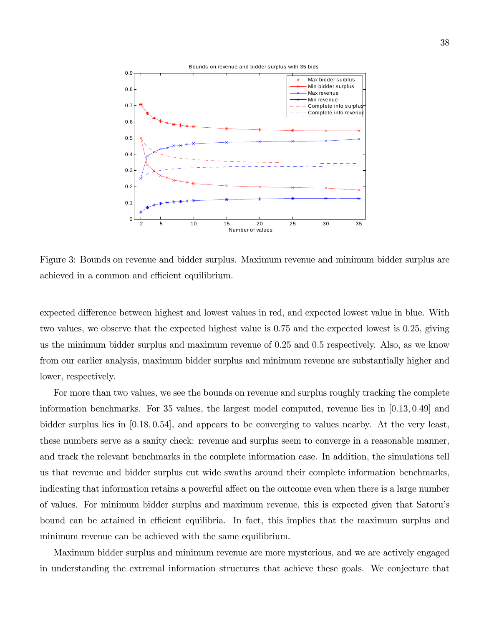

Figure 3: Bounds on revenue and bidder surplus. Maximum revenue and minimum bidder surplus are achieved in a common and efficient equilibrium.

expected difference between highest and lowest values in red, and expected lowest value in blue. With two values, we observe that the expected highest value is 0.75 and the expected lowest is 0.25, giving us the minimum bidder surplus and maximum revenue of 0.25 and 0.5 respectively. Also, as we know from our earlier analysis, maximum bidder surplus and minimum revenue are substantially higher and lower, respectively.

For more than two values, we see the bounds on revenue and surplus roughly tracking the complete information benchmarks. For 35 values, the largest model computed, revenue lies in  $[0.13, 0.49]$  and bidder surplus lies in [0:18; 0:54], and appears to be converging to values nearby. At the very least, these numbers serve as a sanity check: revenue and surplus seem to converge in a reasonable manner, and track the relevant benchmarks in the complete information case. In addition, the simulations tell us that revenue and bidder surplus cut wide swaths around their complete information benchmarks, indicating that information retains a powerful affect on the outcome even when there is a large number of values. For minimum bidder surplus and maximum revenue, this is expected given that Satoruís bound can be attained in efficient equilibria. In fact, this implies that the maximum surplus and minimum revenue can be achieved with the same equilibrium.

Maximum bidder surplus and minimum revenue are more mysterious, and we are actively engaged in understanding the extremal information structures that achieve these goals. We conjecture that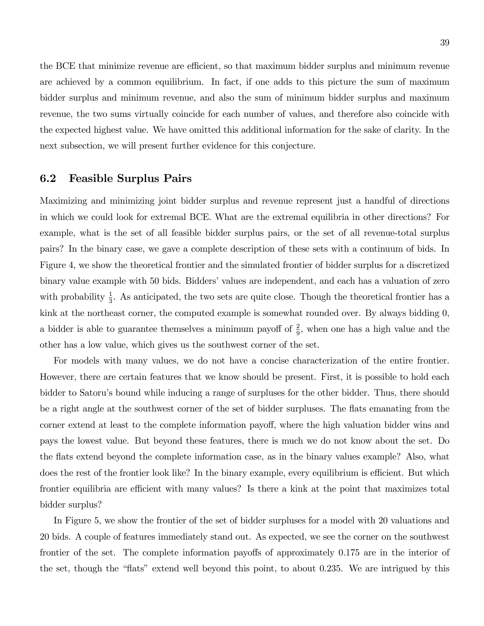the BCE that minimize revenue are efficient, so that maximum bidder surplus and minimum revenue are achieved by a common equilibrium. In fact, if one adds to this picture the sum of maximum bidder surplus and minimum revenue, and also the sum of minimum bidder surplus and maximum revenue, the two sums virtually coincide for each number of values, and therefore also coincide with the expected highest value. We have omitted this additional information for the sake of clarity. In the next subsection, we will present further evidence for this conjecture.

#### 6.2 Feasible Surplus Pairs

Maximizing and minimizing joint bidder surplus and revenue represent just a handful of directions in which we could look for extremal BCE. What are the extremal equilibria in other directions? For example, what is the set of all feasible bidder surplus pairs, or the set of all revenue-total surplus pairs? In the binary case, we gave a complete description of these sets with a continuum of bids. In Figure 4, we show the theoretical frontier and the simulated frontier of bidder surplus for a discretized binary value example with 50 bids. Bidders' values are independent, and each has a valuation of zero with probability  $\frac{1}{3}$ . As anticipated, the two sets are quite close. Though the theoretical frontier has a kink at the northeast corner, the computed example is somewhat rounded over. By always bidding 0, a bidder is able to guarantee themselves a minimum payoff of  $\frac{2}{9}$ , when one has a high value and the other has a low value, which gives us the southwest corner of the set.

For models with many values, we do not have a concise characterization of the entire frontier. However, there are certain features that we know should be present. First, it is possible to hold each bidder to Satoruís bound while inducing a range of surpluses for the other bidder. Thus, there should be a right angle at the southwest corner of the set of bidder surpluses. The flats emanating from the corner extend at least to the complete information payoff, where the high valuation bidder wins and pays the lowest value. But beyond these features, there is much we do not know about the set. Do the áats extend beyond the complete information case, as in the binary values example? Also, what does the rest of the frontier look like? In the binary example, every equilibrium is efficient. But which frontier equilibria are efficient with many values? Is there a kink at the point that maximizes total bidder surplus?

In Figure 5, we show the frontier of the set of bidder surpluses for a model with 20 valuations and 20 bids. A couple of features immediately stand out. As expected, we see the corner on the southwest frontier of the set. The complete information payoffs of approximately  $0.175$  are in the interior of the set, though the "flats" extend well beyond this point, to about  $0.235$ . We are intrigued by this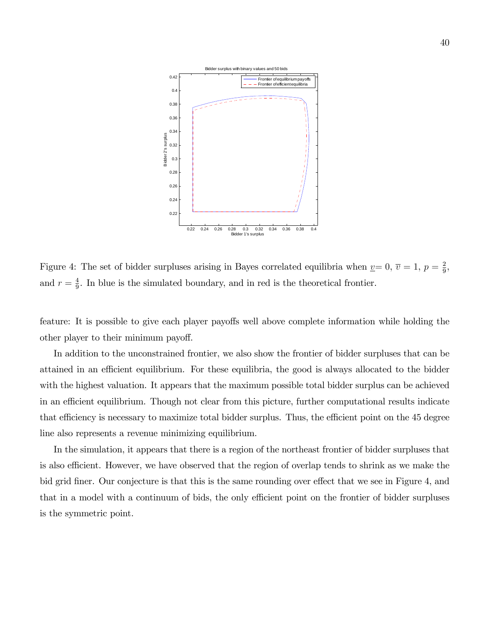

Figure 4: The set of bidder surpluses arising in Bayes correlated equilibria when  $\underline{v}=0, \overline{v}=1, p=\frac{2}{9}$  $\frac{2}{9}$ , and  $r=\frac{4}{9}$  $\frac{4}{9}$ . In blue is the simulated boundary, and in red is the theoretical frontier.

feature: It is possible to give each player payoffs well above complete information while holding the other player to their minimum payoff.

In addition to the unconstrained frontier, we also show the frontier of bidder surpluses that can be attained in an efficient equilibrium. For these equilibria, the good is always allocated to the bidder with the highest valuation. It appears that the maximum possible total bidder surplus can be achieved in an efficient equilibrium. Though not clear from this picture, further computational results indicate that efficiency is necessary to maximize total bidder surplus. Thus, the efficient point on the 45 degree line also represents a revenue minimizing equilibrium.

In the simulation, it appears that there is a region of the northeast frontier of bidder surpluses that is also efficient. However, we have observed that the region of overlap tends to shrink as we make the bid grid finer. Our conjecture is that this is the same rounding over effect that we see in Figure 4, and that in a model with a continuum of bids, the only efficient point on the frontier of bidder surpluses is the symmetric point.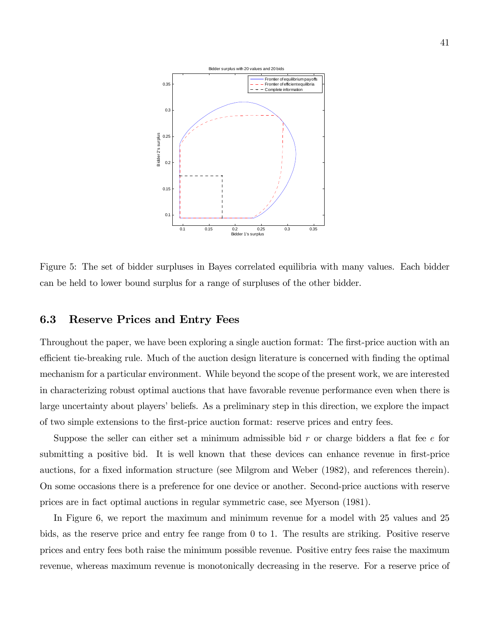

Figure 5: The set of bidder surpluses in Bayes correlated equilibria with many values. Each bidder can be held to lower bound surplus for a range of surpluses of the other bidder.

## 6.3 Reserve Prices and Entry Fees

Throughout the paper, we have been exploring a single auction format: The first-price auction with an efficient tie-breaking rule. Much of the auction design literature is concerned with finding the optimal mechanism for a particular environment. While beyond the scope of the present work, we are interested in characterizing robust optimal auctions that have favorable revenue performance even when there is large uncertainty about players' beliefs. As a preliminary step in this direction, we explore the impact of two simple extensions to the Örst-price auction format: reserve prices and entry fees.

Suppose the seller can either set a minimum admissible bid  $r$  or charge bidders a flat fee  $e$  for submitting a positive bid. It is well known that these devices can enhance revenue in first-price auctions, for a fixed information structure (see Milgrom and Weber (1982), and references therein). On some occasions there is a preference for one device or another. Second-price auctions with reserve prices are in fact optimal auctions in regular symmetric case, see Myerson (1981).

In Figure 6, we report the maximum and minimum revenue for a model with 25 values and 25 bids, as the reserve price and entry fee range from 0 to 1. The results are striking. Positive reserve prices and entry fees both raise the minimum possible revenue. Positive entry fees raise the maximum revenue, whereas maximum revenue is monotonically decreasing in the reserve. For a reserve price of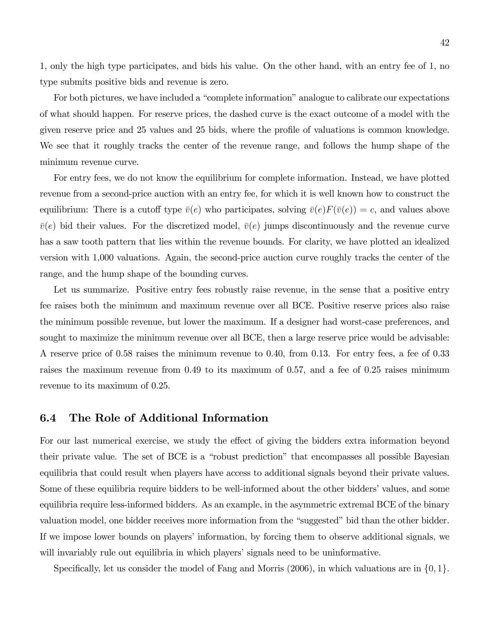1, only the high type participates, and bids his value. On the other hand, with an entry fee of 1, no type submits positive bids and revenue is zero.

For both pictures, we have included a "complete information" analogue to calibrate our expectations of what should happen. For reserve prices, the dashed curve is the exact outcome of a model with the given reserve price and 25 values and 25 bids, where the profile of valuations is common knowledge. We see that it roughly tracks the center of the revenue range, and follows the hump shape of the minimum revenue curve.

For entry fees, we do not know the equilibrium for complete information. Instead, we have plotted revenue from a second-price auction with an entry fee, for which it is well known how to construct the equilibrium: There is a cutoff type  $\bar{v}(e)$  who participates, solving  $\bar{v}(e)F(\bar{v}(e)) = c$ , and values above  $\bar{v}(e)$  bid their values. For the discretized model,  $\bar{v}(e)$  jumps discontinuously and the revenue curve has a saw tooth pattern that lies within the revenue bounds. For clarity, we have plotted an idealized version with 1,000 valuations. Again, the second-price auction curve roughly tracks the center of the range, and the hump shape of the bounding curves.

Let us summarize. Positive entry fees robustly raise revenue, in the sense that a positive entry fee raises both the minimum and maximum revenue over all BCE. Positive reserve prices also raise the minimum possible revenue, but lower the maximum. If a designer had worst-case preferences, and sought to maximize the minimum revenue over all BCE, then a large reserve price would be advisable: A reserve price of 0.58 raises the minimum revenue to 0.40, from 0.13. For entry fees, a fee of 0.33 raises the maximum revenue from 0.49 to its maximum of 0.57, and a fee of 0.25 raises minimum revenue to its maximum of 0.25.

#### 6.4 The Role of Additional Information

For our last numerical exercise, we study the effect of giving the bidders extra information beyond their private value. The set of BCE is a "robust prediction" that encompasses all possible Bayesian equilibria that could result when players have access to additional signals beyond their private values. Some of these equilibria require bidders to be well-informed about the other bidders' values, and some equilibria require less-informed bidders. As an example, in the asymmetric extremal BCE of the binary valuation model, one bidder receives more information from the "suggested" bid than the other bidder. If we impose lower bounds on players' information, by forcing them to observe additional signals, we will invariably rule out equilibria in which players' signals need to be uninformative.

Specifically, let us consider the model of Fang and Morris (2006), in which valuations are in  $\{0, 1\}$ .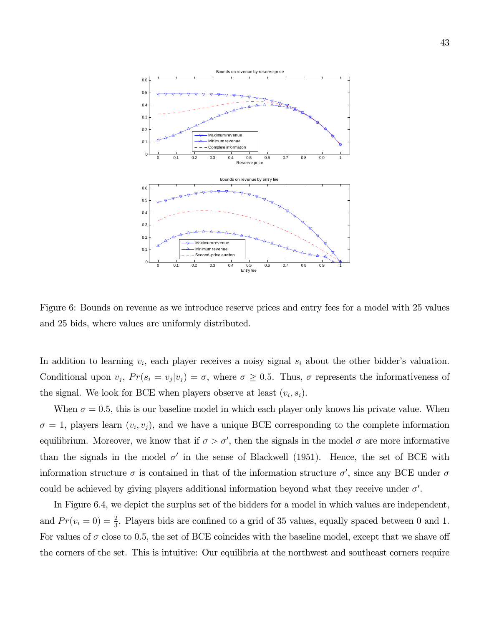

Figure 6: Bounds on revenue as we introduce reserve prices and entry fees for a model with 25 values and 25 bids, where values are uniformly distributed.

In addition to learning  $v_i$ , each player receives a noisy signal  $s_i$  about the other bidder's valuation. Conditional upon  $v_j$ ,  $Pr(s_i = v_j | v_j) = \sigma$ , where  $\sigma \ge 0.5$ . Thus,  $\sigma$  represents the informativeness of the signal. We look for BCE when players observe at least  $(v_i, s_i)$ .

When  $\sigma = 0.5$ , this is our baseline model in which each player only knows his private value. When  $\sigma = 1$ , players learn  $(v_i, v_j)$ , and we have a unique BCE corresponding to the complete information equilibrium. Moreover, we know that if  $\sigma > \sigma'$ , then the signals in the model  $\sigma$  are more informative than the signals in the model  $\sigma'$  in the sense of Blackwell (1951). Hence, the set of BCE with information structure  $\sigma$  is contained in that of the information structure  $\sigma'$ , since any BCE under  $\sigma$ could be achieved by giving players additional information beyond what they receive under  $\sigma'$ .

In Figure 6.4, we depict the surplus set of the bidders for a model in which values are independent, and  $Pr(v_i = 0) = \frac{2}{3}$ . Players bids are confined to a grid of 35 values, equally spaced between 0 and 1. For values of  $\sigma$  close to 0.5, the set of BCE coincides with the baseline model, except that we shave off the corners of the set. This is intuitive: Our equilibria at the northwest and southeast corners require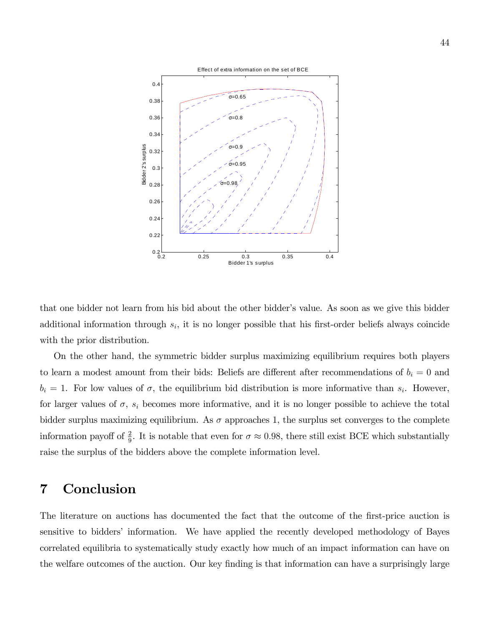

that one bidder not learn from his bid about the other bidder's value. As soon as we give this bidder additional information through  $s_i$ , it is no longer possible that his first-order beliefs always coincide with the prior distribution.

On the other hand, the symmetric bidder surplus maximizing equilibrium requires both players to learn a modest amount from their bids: Beliefs are different after recommendations of  $b_i = 0$  and  $b_i = 1$ . For low values of  $\sigma$ , the equilibrium bid distribution is more informative than  $s_i$ . However, for larger values of  $\sigma$ ,  $s_i$  becomes more informative, and it is no longer possible to achieve the total bidder surplus maximizing equilibrium. As  $\sigma$  approaches 1, the surplus set converges to the complete information payoff of  $\frac{2}{9}$ . It is notable that even for  $\sigma \approx 0.98$ , there still exist BCE which substantially raise the surplus of the bidders above the complete information level.

# 7 Conclusion

The literature on auctions has documented the fact that the outcome of the first-price auction is sensitive to bidders' information. We have applied the recently developed methodology of Bayes correlated equilibria to systematically study exactly how much of an impact information can have on the welfare outcomes of the auction. Our key finding is that information can have a surprisingly large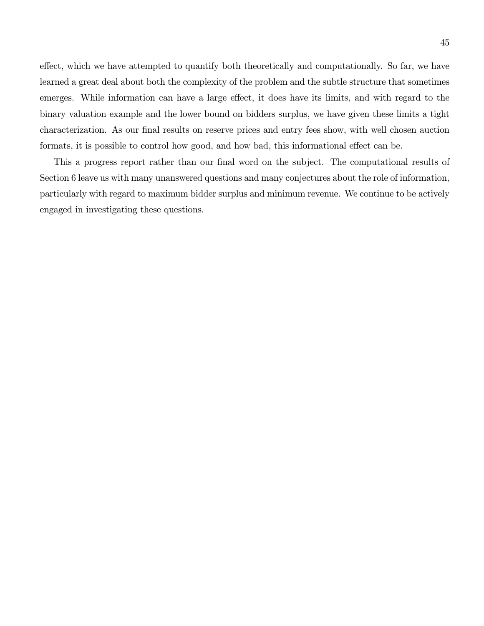effect, which we have attempted to quantify both theoretically and computationally. So far, we have learned a great deal about both the complexity of the problem and the subtle structure that sometimes emerges. While information can have a large effect, it does have its limits, and with regard to the binary valuation example and the lower bound on bidders surplus, we have given these limits a tight characterization. As our final results on reserve prices and entry fees show, with well chosen auction formats, it is possible to control how good, and how bad, this informational effect can be.

This a progress report rather than our final word on the subject. The computational results of Section 6 leave us with many unanswered questions and many conjectures about the role of information, particularly with regard to maximum bidder surplus and minimum revenue. We continue to be actively engaged in investigating these questions.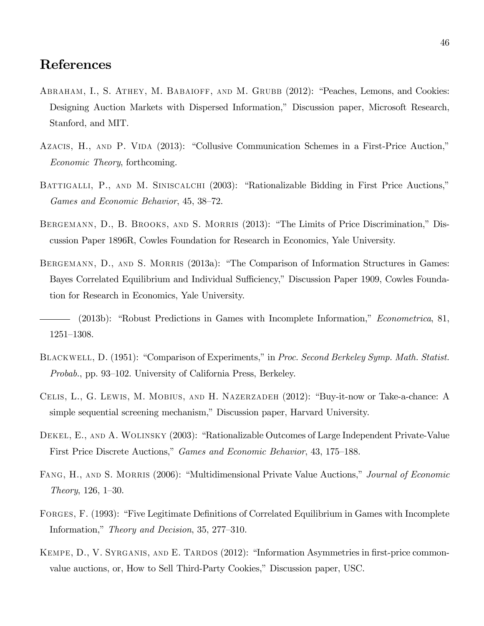# References

- ABRAHAM, I., S. ATHEY, M. BABAIOFF, AND M. GRUBB (2012): "Peaches, Lemons, and Cookies: Designing Auction Markets with Dispersed Information," Discussion paper, Microsoft Research, Stanford, and MIT.
- AZACIS, H., AND P. VIDA (2013): "Collusive Communication Schemes in a First-Price Auction," Economic Theory, forthcoming.
- BATTIGALLI, P., AND M. SINISCALCHI (2003): "Rationalizable Bidding in First Price Auctions," Games and Economic Behavior, 45, 38–72.
- BERGEMANN, D., B. BROOKS, AND S. MORRIS (2013): "The Limits of Price Discrimination," Discussion Paper 1896R, Cowles Foundation for Research in Economics, Yale University.
- BERGEMANN, D., AND S. MORRIS (2013a): "The Comparison of Information Structures in Games: Bayes Correlated Equilibrium and Individual Sufficiency," Discussion Paper 1909, Cowles Foundation for Research in Economics, Yale University.
- (2013b): "Robust Predictions in Games with Incomplete Information," *Econometrica*, 81, 1251-1308.
- BLACKWELL, D. (1951): "Comparison of Experiments," in Proc. Second Berkeley Symp. Math. Statist. Probab., pp. 93–102. University of California Press, Berkeley.
- CELIS, L., G. LEWIS, M. MOBIUS, AND H. NAZERZADEH (2012): "Buy-it-now or Take-a-chance: A simple sequential screening mechanism," Discussion paper, Harvard University.
- DEKEL, E., AND A. WOLINSKY (2003): "Rationalizable Outcomes of Large Independent Private-Value First Price Discrete Auctions," Games and Economic Behavior, 43, 175–188.
- FANG, H., AND S. MORRIS (2006): "Multidimensional Private Value Auctions," Journal of Economic Theory,  $126, 1-30.$
- FORGES, F. (1993): "Five Legitimate Definitions of Correlated Equilibrium in Games with Incomplete Information," *Theory and Decision*, 35, 277–310.
- KEMPE, D., V. SYRGANIS, AND E. TARDOS (2012): "Information Asymmetries in first-price commonvalue auctions, or, How to Sell Third-Party Cookies," Discussion paper, USC.